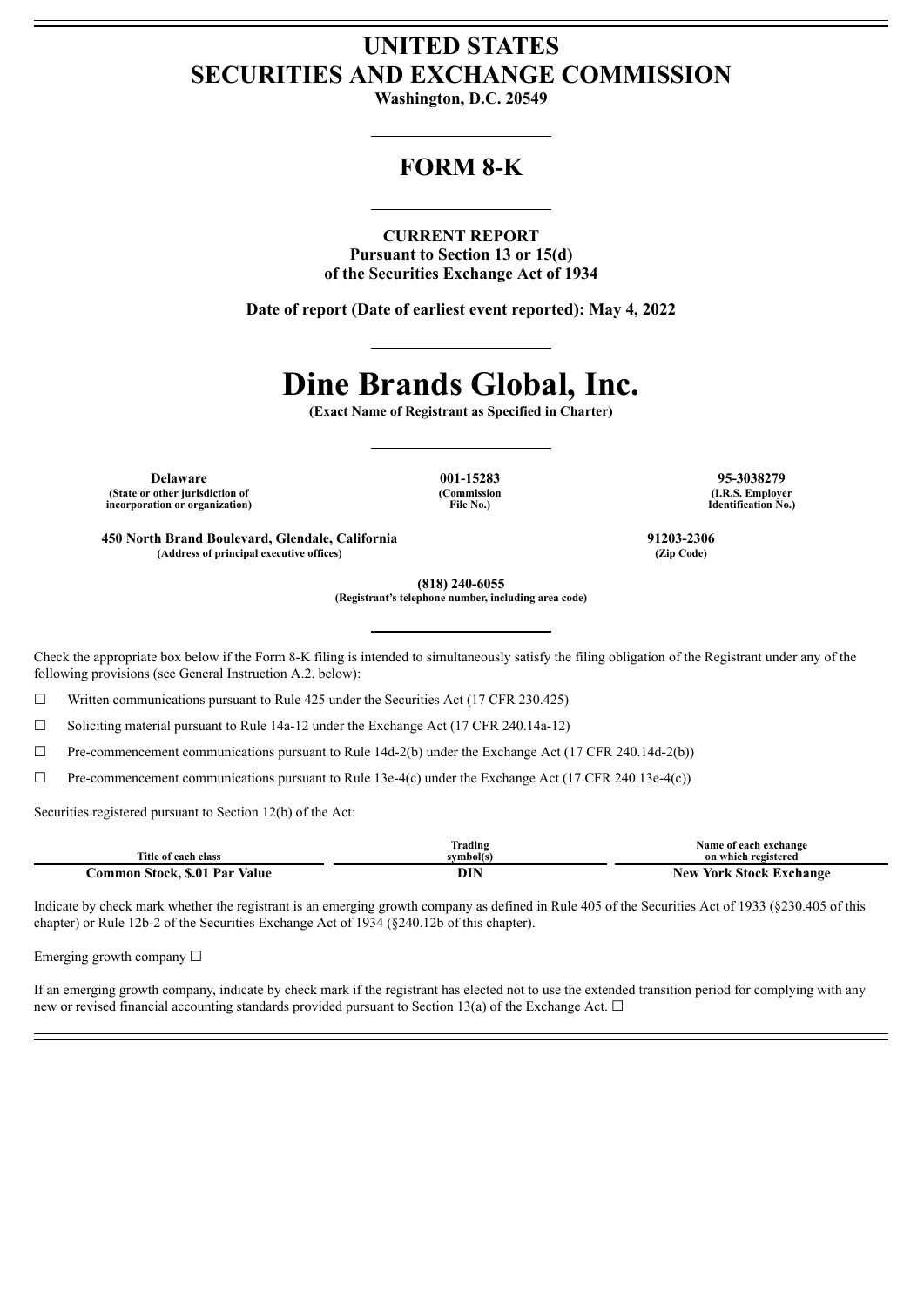# **UNITED STATES SECURITIES AND EXCHANGE COMMISSION**

**Washington, D.C. 20549**

# **FORM 8-K**

**CURRENT REPORT Pursuant to Section 13 or 15(d) of the Securities Exchange Act of 1934**

**Date of report (Date of earliest event reported): May 4, 2022**

# **Dine Brands Global, Inc.**

**(Exact Name of Registrant as Specified in Charter)**

**Delaware 001-15283 95-3038279 (State or other jurisdiction of incorporation or organization)**

**(Commission File No.)**

**(I.R.S. Employer Identification No.)**

**450 North Brand Boulevard, Glendale, California 91203-2306**  $(A$ ddress of principal executive offices)

**(818) 240-6055**

**(Registrant's telephone number, including area code)**

Check the appropriate box below if the Form 8-K filing is intended to simultaneously satisfy the filing obligation of the Registrant under any of the following provisions (see General Instruction A.2. below):

 $\Box$  Written communications pursuant to Rule 425 under the Securities Act (17 CFR 230.425)

 $\Box$  Soliciting material pursuant to Rule 14a-12 under the Exchange Act (17 CFR 240.14a-12)

 $\Box$  Pre-commencement communications pursuant to Rule 14d-2(b) under the Exchange Act (17 CFR 240.14d-2(b))

☐ Pre-commencement communications pursuant to Rule 13e-4(c) under the Exchange Act (17 CFR 240.13e-4(c))

Securities registered pursuant to Section 12(b) of the Act:

|                               | Trading   | Name of each exchange          |
|-------------------------------|-----------|--------------------------------|
| Title of each class           | svmbol(s) | on which registered            |
| Common Stock, \$.01 Par Value | DIN       | <b>New York Stock Exchange</b> |

Indicate by check mark whether the registrant is an emerging growth company as defined in Rule 405 of the Securities Act of 1933 (§230.405 of this chapter) or Rule 12b-2 of the Securities Exchange Act of 1934 (§240.12b of this chapter).

Emerging growth company  $\Box$ 

If an emerging growth company, indicate by check mark if the registrant has elected not to use the extended transition period for complying with any new or revised financial accounting standards provided pursuant to Section 13(a) of the Exchange Act.  $\Box$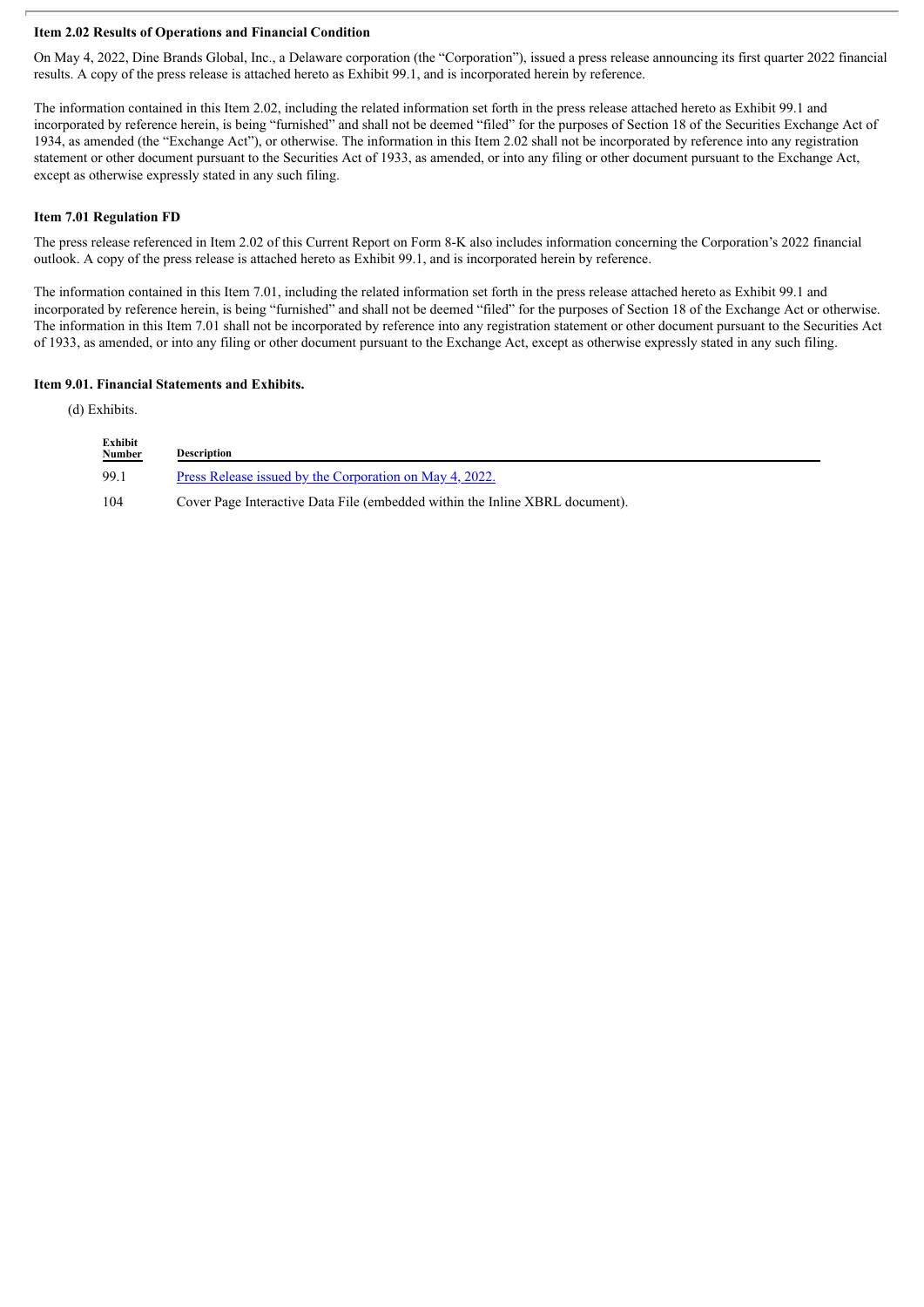# **Item 2.02 Results of Operations and Financial Condition**

On May 4, 2022, Dine Brands Global, Inc., a Delaware corporation (the "Corporation"), issued a press release announcing its first quarter 2022 financial results. A copy of the press release is attached hereto as Exhibit 99.1, and is incorporated herein by reference.

The information contained in this Item 2.02, including the related information set forth in the press release attached hereto as Exhibit 99.1 and incorporated by reference herein, is being "furnished" and shall not be deemed "filed" for the purposes of Section 18 of the Securities Exchange Act of 1934, as amended (the "Exchange Act"), or otherwise. The information in this Item 2.02 shall not be incorporated by reference into any registration statement or other document pursuant to the Securities Act of 1933, as amended, or into any filing or other document pursuant to the Exchange Act, except as otherwise expressly stated in any such filing.

## **Item 7.01 Regulation FD**

The press release referenced in Item 2.02 of this Current Report on Form 8-K also includes information concerning the Corporation's 2022 financial outlook. A copy of the press release is attached hereto as Exhibit 99.1, and is incorporated herein by reference.

The information contained in this Item 7.01, including the related information set forth in the press release attached hereto as Exhibit 99.1 and incorporated by reference herein, is being "furnished" and shall not be deemed "filed" for the purposes of Section 18 of the Exchange Act or otherwise. The information in this Item 7.01 shall not be incorporated by reference into any registration statement or other document pursuant to the Securities Act of 1933, as amended, or into any filing or other document pursuant to the Exchange Act, except as otherwise expressly stated in any such filing.

# **Item 9.01. Financial Statements and Exhibits.**

(d) Exhibits.

| Exhibit<br><u>Number</u> | <b>Description</b>                                                           |
|--------------------------|------------------------------------------------------------------------------|
| 99.1                     | <u>Press Release issued by the Corporation on May 4, 2022.</u>               |
| 104                      | Cover Page Interactive Data File (embedded within the Inline XBRL document). |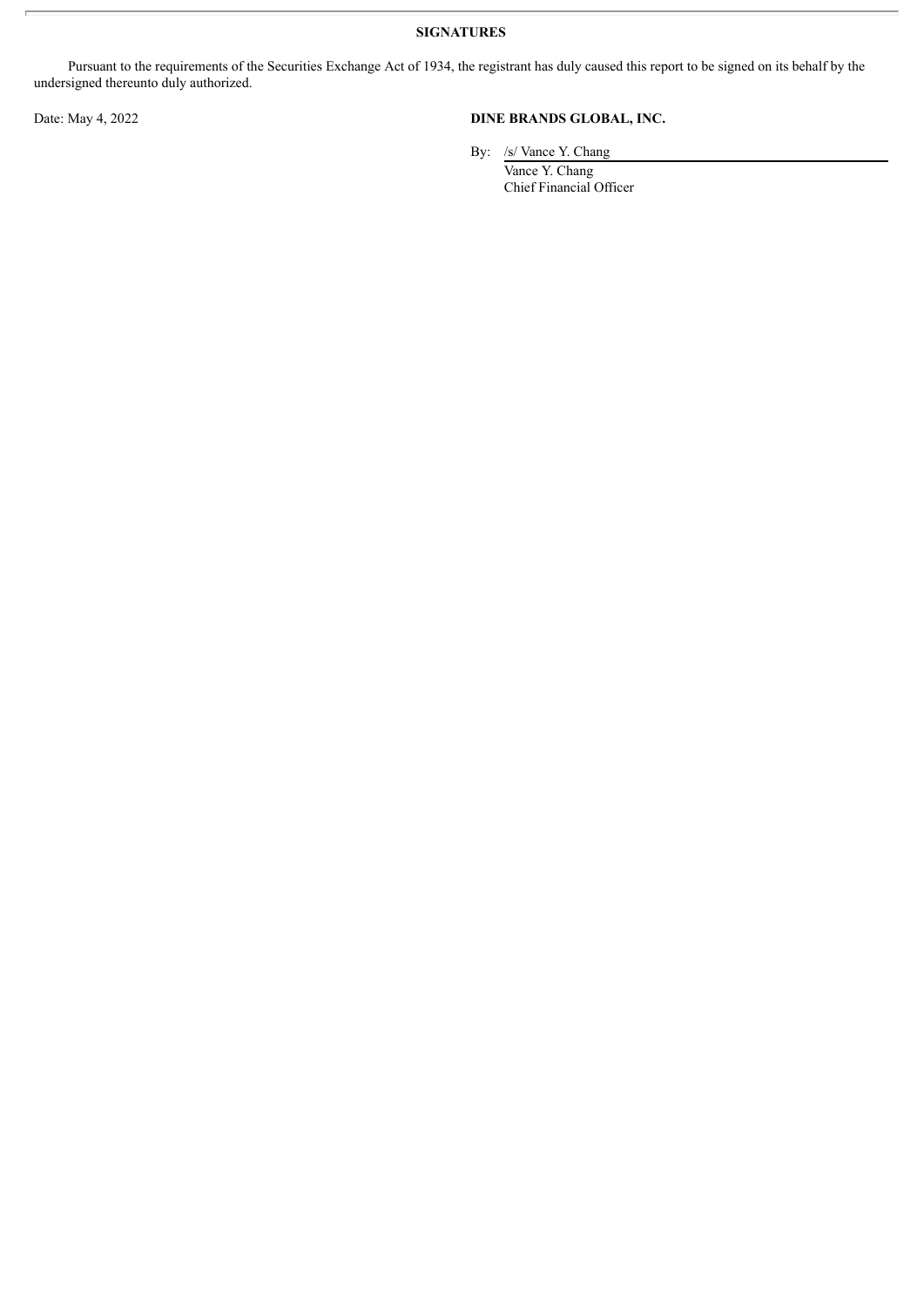**SIGNATURES**

Pursuant to the requirements of the Securities Exchange Act of 1934, the registrant has duly caused this report to be signed on its behalf by the undersigned thereunto duly authorized.

# Date: May 4, 2022 **DINE BRANDS GLOBAL, INC.**

By: /s/ Vance Y. Chang

Vance Y. Chang Chief Financial Officer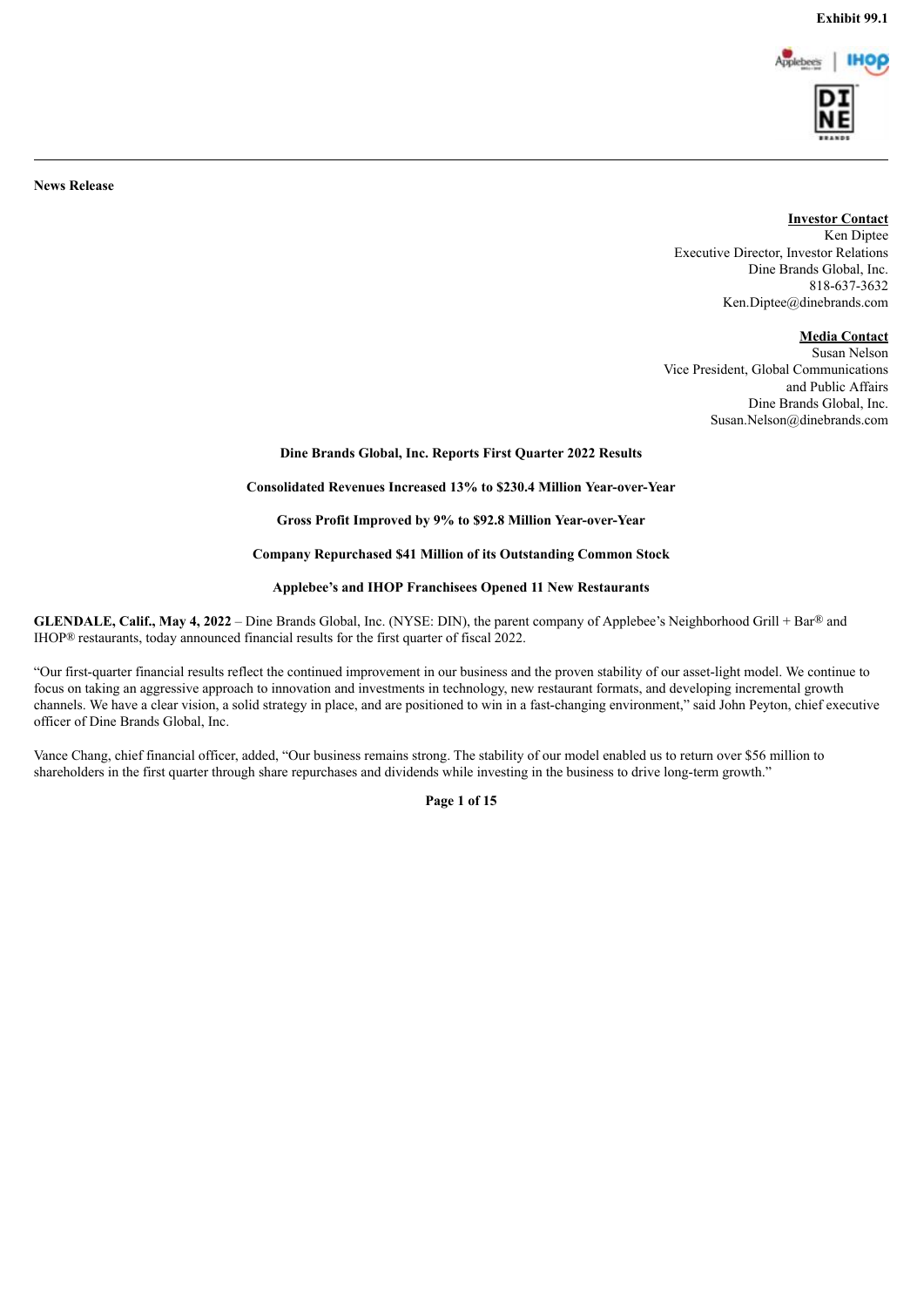

#### <span id="page-3-0"></span>**News Release**

## **Investor Contact**

Ken Diptee Executive Director, Investor Relations Dine Brands Global, Inc. 818-637-3632 Ken.Diptee@dinebrands.com

# **Media Contact**

Susan Nelson Vice President, Global Communications and Public Affairs Dine Brands Global, Inc. Susan.Nelson@dinebrands.com

## **Dine Brands Global, Inc. Reports First Quarter 2022 Results**

**Consolidated Revenues Increased 13% to \$230.4 Million Year-over-Year**

**Gross Profit Improved by 9% to \$92.8 Million Year-over-Year**

#### **Company Repurchased \$41 Million of its Outstanding Common Stock**

#### **Applebee's and IHOP Franchisees Opened 11 New Restaurants**

**GLENDALE, Calif., May 4, 2022** – Dine Brands Global, Inc. (NYSE: DIN), the parent company of Applebee's Neighborhood Grill + Bar® and IHOP® restaurants, today announced financial results for the first quarter of fiscal 2022.

"Our first-quarter financial results reflect the continued improvement in our business and the proven stability of our asset-light model. We continue to focus on taking an aggressive approach to innovation and investments in technology, new restaurant formats, and developing incremental growth channels. We have a clear vision, a solid strategy in place, and are positioned to win in a fast-changing environment," said John Peyton, chief executive officer of Dine Brands Global, Inc.

Vance Chang, chief financial officer, added, "Our business remains strong. The stability of our model enabled us to return over \$56 million to shareholders in the first quarter through share repurchases and dividends while investing in the business to drive long-term growth."

**Page 1 of 15**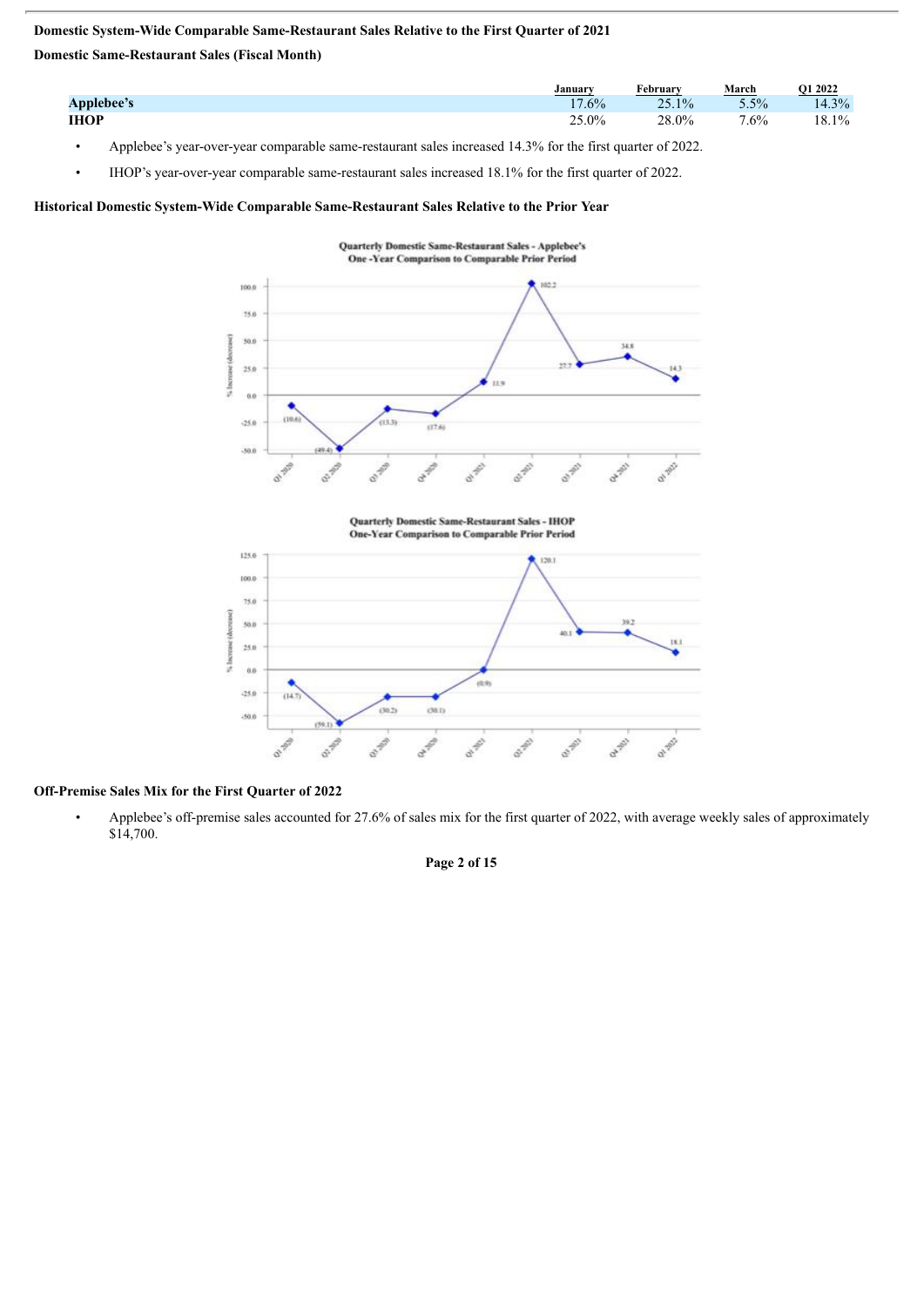# **Domestic System-Wide Comparable Same-Restaurant Sales Relative to the First Quarter of 2021**

**Domestic Same-Restaurant Sales (Fiscal Month)**

|             | January  | February | March | Q1 2022 |
|-------------|----------|----------|-------|---------|
| Applebee's  | $17.6\%$ | 25.1%    | 5.5%  | 14.3%   |
| <b>IHOP</b> | 25.0%    | 28.0%    | 7.6%  | 18.1%   |

- Applebee's year-over-year comparable same-restaurant sales increased 14.3% for the first quarter of 2022.
- IHOP's year-over-year comparable same-restaurant sales increased 18.1% for the first quarter of 2022.

# **Historical Domestic System-Wide Comparable Same-Restaurant Sales Relative to the Prior Year**



Quarterly Domestic Same-Restaurant Sales - IHOP One-Year Comparison to Comparable Prior Period



# **Off-Premise Sales Mix for the First Quarter of 2022**

• Applebee's off-premise sales accounted for 27.6% of sales mix for the first quarter of 2022, with average weekly sales of approximately \$14,700.

**Page 2 of 15**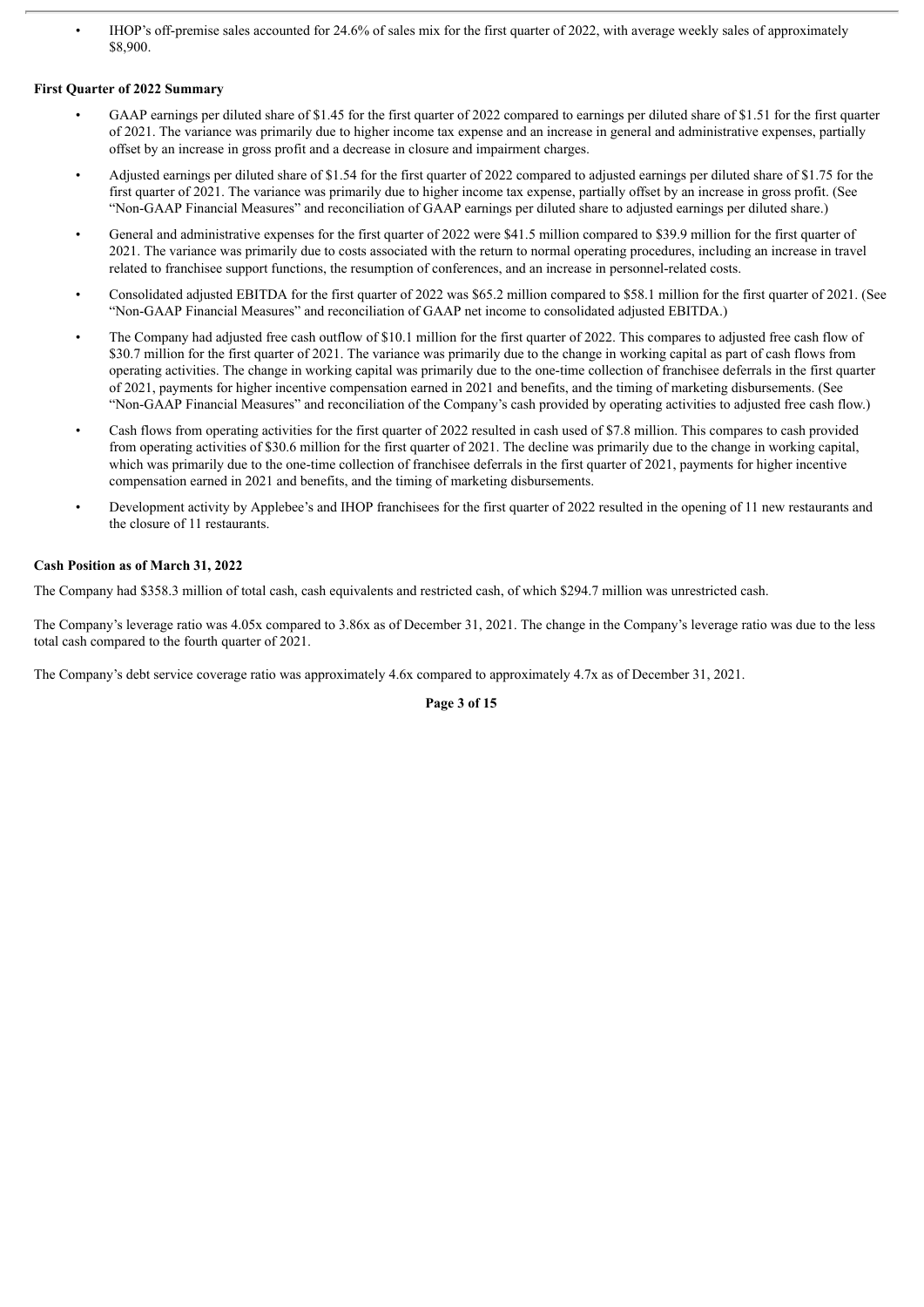• IHOP's off-premise sales accounted for 24.6% of sales mix for the first quarter of 2022, with average weekly sales of approximately \$8,900.

# **First Quarter of 2022 Summary**

- GAAP earnings per diluted share of \$1.45 for the first quarter of 2022 compared to earnings per diluted share of \$1.51 for the first quarter of 2021. The variance was primarily due to higher income tax expense and an increase in general and administrative expenses, partially offset by an increase in gross profit and a decrease in closure and impairment charges.
- Adjusted earnings per diluted share of \$1.54 for the first quarter of 2022 compared to adjusted earnings per diluted share of \$1.75 for the first quarter of 2021. The variance was primarily due to higher income tax expense, partially offset by an increase in gross profit. (See "Non-GAAP Financial Measures" and reconciliation of GAAP earnings per diluted share to adjusted earnings per diluted share.)
- General and administrative expenses for the first quarter of 2022 were \$41.5 million compared to \$39.9 million for the first quarter of 2021. The variance was primarily due to costs associated with the return to normal operating procedures, including an increase in travel related to franchisee support functions, the resumption of conferences, and an increase in personnel-related costs.
- Consolidated adjusted EBITDA for the first quarter of 2022 was \$65.2 million compared to \$58.1 million for the first quarter of 2021. (See "Non-GAAP Financial Measures" and reconciliation of GAAP net income to consolidated adjusted EBITDA.)
- The Company had adjusted free cash outflow of \$10.1 million for the first quarter of 2022. This compares to adjusted free cash flow of \$30.7 million for the first quarter of 2021. The variance was primarily due to the change in working capital as part of cash flows from operating activities. The change in working capital was primarily due to the one-time collection of franchisee deferrals in the first quarter of 2021, payments for higher incentive compensation earned in 2021 and benefits, and the timing of marketing disbursements. (See "Non-GAAP Financial Measures" and reconciliation of the Company's cash provided by operating activities to adjusted free cash flow.)
- Cash flows from operating activities for the first quarter of 2022 resulted in cash used of \$7.8 million. This compares to cash provided from operating activities of \$30.6 million for the first quarter of 2021. The decline was primarily due to the change in working capital, which was primarily due to the one-time collection of franchisee deferrals in the first quarter of 2021, payments for higher incentive compensation earned in 2021 and benefits, and the timing of marketing disbursements.
- Development activity by Applebee's and IHOP franchisees for the first quarter of 2022 resulted in the opening of 11 new restaurants and the closure of 11 restaurants.

# **Cash Position as of March 31, 2022**

The Company had \$358.3 million of total cash, cash equivalents and restricted cash, of which \$294.7 million was unrestricted cash.

The Company's leverage ratio was 4.05x compared to 3.86x as of December 31, 2021. The change in the Company's leverage ratio was due to the less total cash compared to the fourth quarter of 2021.

The Company's debt service coverage ratio was approximately 4.6x compared to approximately 4.7x as of December 31, 2021.

**Page 3 of 15**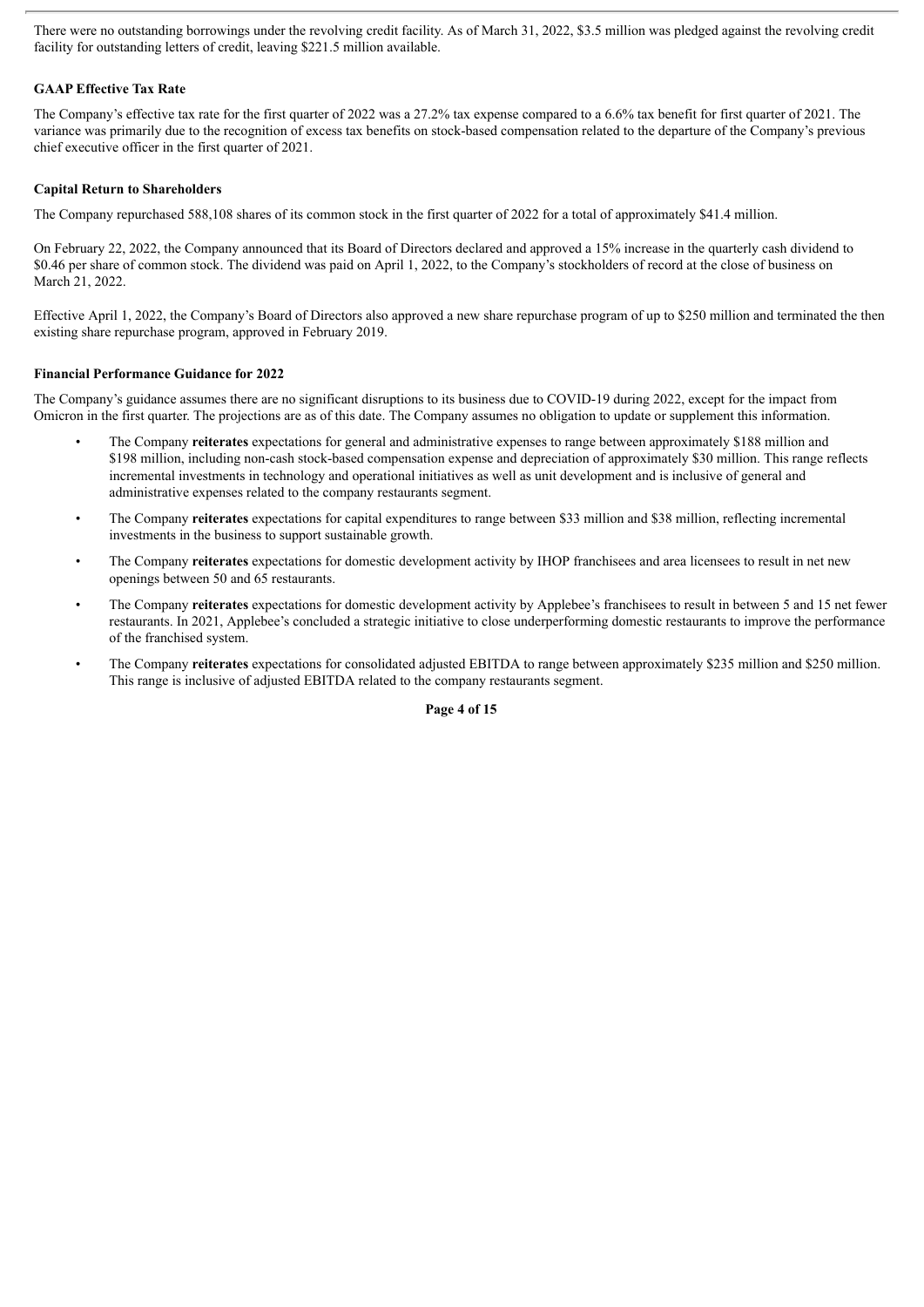There were no outstanding borrowings under the revolving credit facility. As of March 31, 2022, \$3.5 million was pledged against the revolving credit facility for outstanding letters of credit, leaving \$221.5 million available.

# **GAAP Effective Tax Rate**

The Company's effective tax rate for the first quarter of 2022 was a 27.2% tax expense compared to a 6.6% tax benefit for first quarter of 2021. The variance was primarily due to the recognition of excess tax benefits on stock-based compensation related to the departure of the Company's previous chief executive officer in the first quarter of 2021.

# **Capital Return to Shareholders**

The Company repurchased 588,108 shares of its common stock in the first quarter of 2022 for a total of approximately \$41.4 million.

On February 22, 2022, the Company announced that its Board of Directors declared and approved a 15% increase in the quarterly cash dividend to \$0.46 per share of common stock. The dividend was paid on April 1, 2022, to the Company's stockholders of record at the close of business on March 21, 2022.

Effective April 1, 2022, the Company's Board of Directors also approved a new share repurchase program of up to \$250 million and terminated the then existing share repurchase program, approved in February 2019.

#### **Financial Performance Guidance for 2022**

The Company's guidance assumes there are no significant disruptions to its business due to COVID-19 during 2022, except for the impact from Omicron in the first quarter. The projections are as of this date. The Company assumes no obligation to update or supplement this information.

- The Company **reiterates** expectations for general and administrative expenses to range between approximately \$188 million and \$198 million, including non-cash stock-based compensation expense and depreciation of approximately \$30 million. This range reflects incremental investments in technology and operational initiatives as well as unit development and is inclusive of general and administrative expenses related to the company restaurants segment.
- The Company **reiterates** expectations for capital expenditures to range between \$33 million and \$38 million, reflecting incremental investments in the business to support sustainable growth.
- The Company **reiterates** expectations for domestic development activity by IHOP franchisees and area licensees to result in net new openings between 50 and 65 restaurants.
- The Company **reiterates** expectations for domestic development activity by Applebee's franchisees to result in between 5 and 15 net fewer restaurants. In 2021, Applebee's concluded a strategic initiative to close underperforming domestic restaurants to improve the performance of the franchised system.
- The Company **reiterates** expectations for consolidated adjusted EBITDA to range between approximately \$235 million and \$250 million. This range is inclusive of adjusted EBITDA related to the company restaurants segment.

**Page 4 of 15**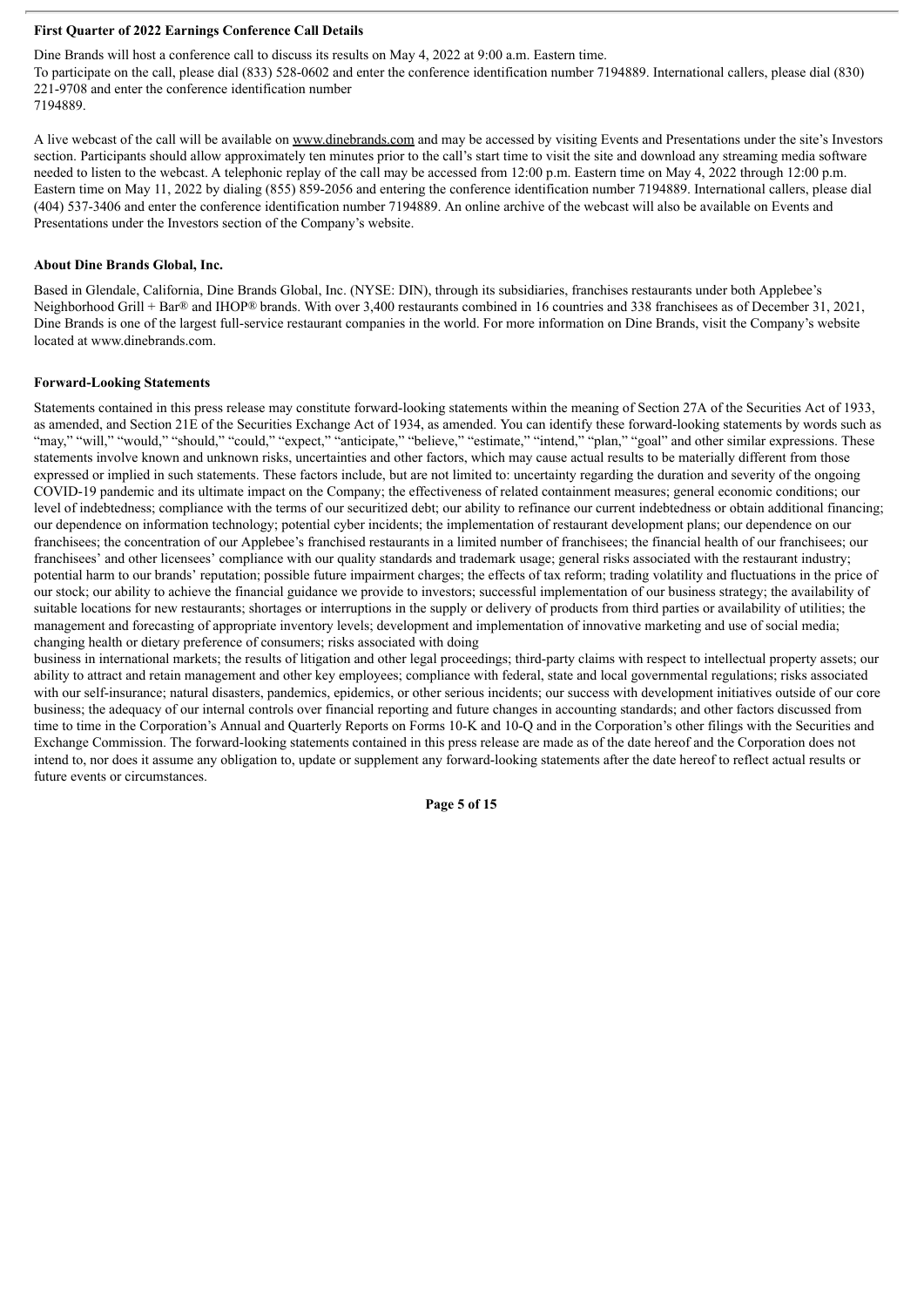# **First Quarter of 2022 Earnings Conference Call Details**

Dine Brands will host a conference call to discuss its results on May 4, 2022 at 9:00 a.m. Eastern time. To participate on the call, please dial (833) 528-0602 and enter the conference identification number 7194889. International callers, please dial (830) 221-9708 and enter the conference identification number 7194889.

A live webcast of the call will be available on www.dinebrands.com and may be accessed by visiting Events and Presentations under the site's Investors section. Participants should allow approximately ten minutes prior to the call's start time to visit the site and download any streaming media software needed to listen to the webcast. A telephonic replay of the call may be accessed from 12:00 p.m. Eastern time on May 4, 2022 through 12:00 p.m. Eastern time on May 11, 2022 by dialing (855) 859-2056 and entering the conference identification number 7194889. International callers, please dial (404) 537-3406 and enter the conference identification number 7194889. An online archive of the webcast will also be available on Events and Presentations under the Investors section of the Company's website.

## **About Dine Brands Global, Inc.**

Based in Glendale, California, Dine Brands Global, Inc. (NYSE: DIN), through its subsidiaries, franchises restaurants under both Applebee's Neighborhood Grill + Bar® and IHOP® brands. With over 3,400 restaurants combined in 16 countries and 338 franchisees as of December 31, 2021, Dine Brands is one of the largest full-service restaurant companies in the world. For more information on Dine Brands, visit the Company's website located at www.dinebrands.com.

#### **Forward-Looking Statements**

Statements contained in this press release may constitute forward-looking statements within the meaning of Section 27A of the Securities Act of 1933, as amended, and Section 21E of the Securities Exchange Act of 1934, as amended. You can identify these forward-looking statements by words such as "may," "will," "would," "should," "could," "expect," "anticipate," "believe," "estimate," "intend," "plan," "goal" and other similar expressions. These statements involve known and unknown risks, uncertainties and other factors, which may cause actual results to be materially different from those expressed or implied in such statements. These factors include, but are not limited to: uncertainty regarding the duration and severity of the ongoing COVID-19 pandemic and its ultimate impact on the Company; the effectiveness of related containment measures; general economic conditions; our level of indebtedness; compliance with the terms of our securitized debt; our ability to refinance our current indebtedness or obtain additional financing; our dependence on information technology; potential cyber incidents; the implementation of restaurant development plans; our dependence on our franchisees; the concentration of our Applebee's franchised restaurants in a limited number of franchisees; the financial health of our franchisees; our franchisees' and other licensees' compliance with our quality standards and trademark usage; general risks associated with the restaurant industry; potential harm to our brands' reputation; possible future impairment charges; the effects of tax reform; trading volatility and fluctuations in the price of our stock; our ability to achieve the financial guidance we provide to investors; successful implementation of our business strategy; the availability of suitable locations for new restaurants; shortages or interruptions in the supply or delivery of products from third parties or availability of utilities; the management and forecasting of appropriate inventory levels; development and implementation of innovative marketing and use of social media; changing health or dietary preference of consumers; risks associated with doing

business in international markets; the results of litigation and other legal proceedings; third-party claims with respect to intellectual property assets; our ability to attract and retain management and other key employees; compliance with federal, state and local governmental regulations; risks associated with our self-insurance; natural disasters, pandemics, epidemics, or other serious incidents; our success with development initiatives outside of our core business; the adequacy of our internal controls over financial reporting and future changes in accounting standards; and other factors discussed from time to time in the Corporation's Annual and Quarterly Reports on Forms 10-K and 10-Q and in the Corporation's other filings with the Securities and Exchange Commission. The forward-looking statements contained in this press release are made as of the date hereof and the Corporation does not intend to, nor does it assume any obligation to, update or supplement any forward-looking statements after the date hereof to reflect actual results or future events or circumstances.

**Page 5 of 15**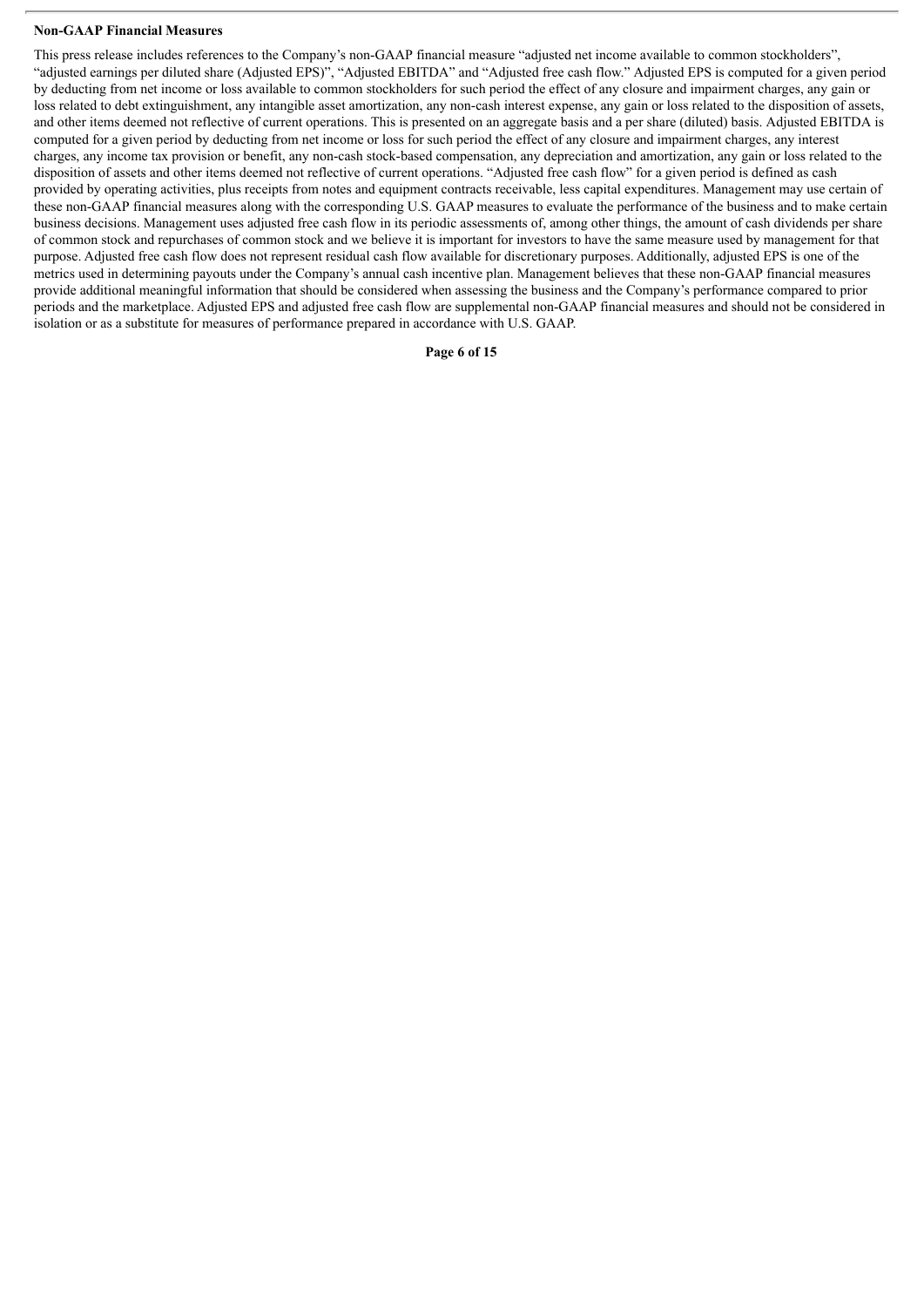# **Non-GAAP Financial Measures**

This press release includes references to the Company's non-GAAP financial measure "adjusted net income available to common stockholders", "adjusted earnings per diluted share (Adjusted EPS)", "Adjusted EBITDA" and "Adjusted free cash flow." Adjusted EPS is computed for a given period by deducting from net income or loss available to common stockholders for such period the effect of any closure and impairment charges, any gain or loss related to debt extinguishment, any intangible asset amortization, any non-cash interest expense, any gain or loss related to the disposition of assets, and other items deemed not reflective of current operations. This is presented on an aggregate basis and a per share (diluted) basis. Adjusted EBITDA is computed for a given period by deducting from net income or loss for such period the effect of any closure and impairment charges, any interest charges, any income tax provision or benefit, any non-cash stock-based compensation, any depreciation and amortization, any gain or loss related to the disposition of assets and other items deemed not reflective of current operations. "Adjusted free cash flow" for a given period is defined as cash provided by operating activities, plus receipts from notes and equipment contracts receivable, less capital expenditures. Management may use certain of these non-GAAP financial measures along with the corresponding U.S. GAAP measures to evaluate the performance of the business and to make certain business decisions. Management uses adjusted free cash flow in its periodic assessments of, among other things, the amount of cash dividends per share of common stock and repurchases of common stock and we believe it is important for investors to have the same measure used by management for that purpose. Adjusted free cash flow does not represent residual cash flow available for discretionary purposes. Additionally, adjusted EPS is one of the metrics used in determining payouts under the Company's annual cash incentive plan. Management believes that these non-GAAP financial measures provide additional meaningful information that should be considered when assessing the business and the Company's performance compared to prior periods and the marketplace. Adjusted EPS and adjusted free cash flow are supplemental non-GAAP financial measures and should not be considered in isolation or as a substitute for measures of performance prepared in accordance with U.S. GAAP.

**Page 6 of 15**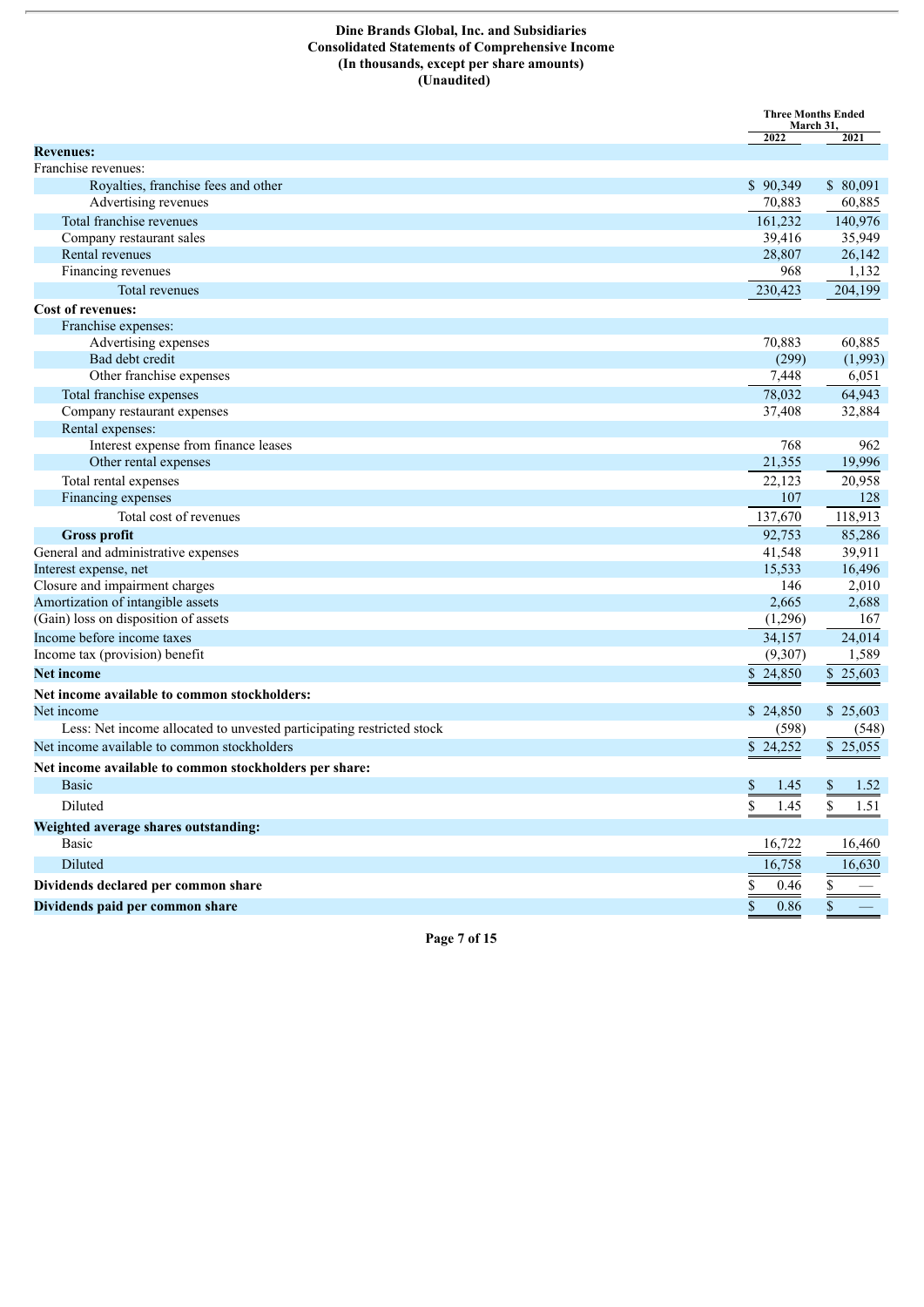#### **Dine Brands Global, Inc. and Subsidiaries Consolidated Statements of Comprehensive Income (In thousands, except per share amounts) (Unaudited)**

|                                                                       |            | <b>Three Months Ended</b><br>March 31, |  |
|-----------------------------------------------------------------------|------------|----------------------------------------|--|
|                                                                       | 2022       | 2021                                   |  |
| <b>Revenues:</b><br>Franchise revenues:                               |            |                                        |  |
| Royalties, franchise fees and other                                   | \$90,349   | \$ 80,091                              |  |
| Advertising revenues                                                  | 70,883     | 60,885                                 |  |
| Total franchise revenues                                              | 161,232    | 140,976                                |  |
| Company restaurant sales                                              | 39,416     | 35,949                                 |  |
| Rental revenues                                                       | 28,807     | 26,142                                 |  |
| Financing revenues                                                    | 968        | 1,132                                  |  |
| Total revenues                                                        | 230,423    | 204,199                                |  |
| <b>Cost of revenues:</b>                                              |            |                                        |  |
| Franchise expenses:                                                   |            |                                        |  |
| Advertising expenses                                                  | 70,883     | 60,885                                 |  |
| Bad debt credit                                                       | (299)      | (1,993)                                |  |
| Other franchise expenses                                              | 7,448      | 6,051                                  |  |
| Total franchise expenses                                              | 78,032     | 64,943                                 |  |
| Company restaurant expenses                                           | 37,408     | 32,884                                 |  |
| Rental expenses:                                                      |            |                                        |  |
| Interest expense from finance leases                                  | 768        | 962                                    |  |
| Other rental expenses                                                 | 21,355     | 19,996                                 |  |
| Total rental expenses                                                 | 22,123     | 20,958                                 |  |
| Financing expenses                                                    | 107        | 128                                    |  |
| Total cost of revenues                                                | 137,670    | 118,913                                |  |
| <b>Gross profit</b>                                                   | 92,753     | 85,286                                 |  |
| General and administrative expenses                                   | 41,548     | 39,911                                 |  |
| Interest expense, net                                                 | 15,533     | 16,496                                 |  |
| Closure and impairment charges                                        | 146        | 2,010                                  |  |
| Amortization of intangible assets                                     | 2,665      | 2,688                                  |  |
| (Gain) loss on disposition of assets                                  | (1,296)    | 167                                    |  |
| Income before income taxes                                            | 34,157     | 24,014                                 |  |
| Income tax (provision) benefit                                        | (9,307)    | 1,589                                  |  |
| <b>Net income</b>                                                     | \$24,850   | \$25,603                               |  |
| Net income available to common stockholders:                          |            |                                        |  |
| Net income                                                            | \$24,850   | \$25,603                               |  |
| Less: Net income allocated to unvested participating restricted stock | (598)      | (548)                                  |  |
| Net income available to common stockholders                           | \$24,252   | \$25,055                               |  |
| Net income available to common stockholders per share:                |            |                                        |  |
| <b>Basic</b>                                                          | \$<br>1.45 | \$<br>1.52                             |  |
| Diluted                                                               | \$<br>1.45 | \$<br>1.51                             |  |
| Weighted average shares outstanding:                                  |            |                                        |  |
| <b>Basic</b>                                                          | 16,722     | 16,460                                 |  |
| Diluted                                                               | 16,758     | 16,630                                 |  |
| Dividends declared per common share                                   | 0.46<br>\$ | \$                                     |  |
| Dividends paid per common share                                       | \$<br>0.86 | \$                                     |  |
|                                                                       |            |                                        |  |

**Page 7 of 15**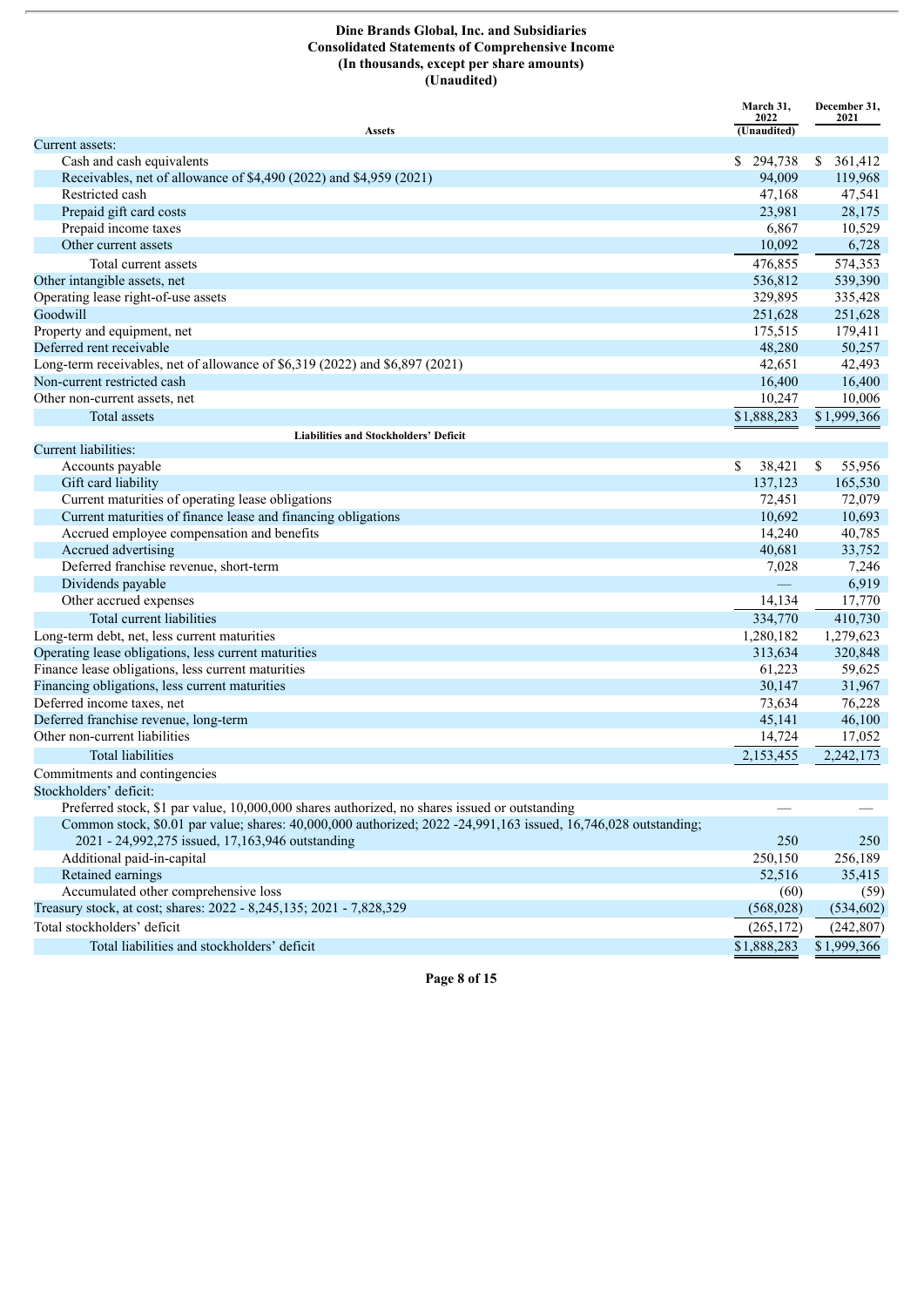#### **Dine Brands Global, Inc. and Subsidiaries Consolidated Statements of Comprehensive Income (In thousands, except per share amounts) (Unaudited)**

|                                                                                                                                                                     | March 31,<br>2022 | December 31,<br>2021    |
|---------------------------------------------------------------------------------------------------------------------------------------------------------------------|-------------------|-------------------------|
| <b>Assets</b><br>Current assets:                                                                                                                                    | (Unaudited)       |                         |
| Cash and cash equivalents                                                                                                                                           | \$294,738         | \$361,412               |
| Receivables, net of allowance of \$4,490 (2022) and \$4,959 (2021)                                                                                                  | 94,009            | 119,968                 |
| Restricted cash                                                                                                                                                     | 47,168            | 47,541                  |
| Prepaid gift card costs                                                                                                                                             | 23,981            | 28,175                  |
| Prepaid income taxes                                                                                                                                                | 6,867             | 10,529                  |
| Other current assets                                                                                                                                                | 10,092            | 6,728                   |
| Total current assets                                                                                                                                                | 476,855           | 574,353                 |
| Other intangible assets, net                                                                                                                                        | 536,812           | 539,390                 |
| Operating lease right-of-use assets                                                                                                                                 | 329,895           | 335,428                 |
| Goodwill                                                                                                                                                            | 251,628           | 251,628                 |
| Property and equipment, net                                                                                                                                         | 175,515           | 179,411                 |
| Deferred rent receivable                                                                                                                                            | 48,280            | 50,257                  |
| Long-term receivables, net of allowance of \$6,319 (2022) and \$6,897 (2021)                                                                                        | 42,651            | 42,493                  |
| Non-current restricted cash                                                                                                                                         | 16,400            | 16,400                  |
| Other non-current assets, net                                                                                                                                       | 10,247            | 10,006                  |
| Total assets                                                                                                                                                        | \$1,888,283       | \$1,999,366             |
| <b>Liabilities and Stockholders' Deficit</b>                                                                                                                        |                   |                         |
| Current liabilities:                                                                                                                                                |                   |                         |
| Accounts payable                                                                                                                                                    | \$<br>38,421      | 55,956<br><sup>\$</sup> |
| Gift card liability                                                                                                                                                 | 137,123           | 165,530                 |
| Current maturities of operating lease obligations                                                                                                                   | 72,451            | 72,079                  |
| Current maturities of finance lease and financing obligations                                                                                                       | 10,692            | 10,693                  |
| Accrued employee compensation and benefits                                                                                                                          | 14,240            | 40,785                  |
| Accrued advertising                                                                                                                                                 | 40,681            | 33,752                  |
| Deferred franchise revenue, short-term                                                                                                                              | 7,028             | 7,246                   |
| Dividends payable                                                                                                                                                   | $\equiv$          | 6,919                   |
| Other accrued expenses                                                                                                                                              | 14,134            | 17,770                  |
| Total current liabilities                                                                                                                                           | 334,770           | 410,730                 |
| Long-term debt, net, less current maturities                                                                                                                        | 1,280,182         | 1,279,623               |
| Operating lease obligations, less current maturities                                                                                                                | 313,634           | 320,848                 |
| Finance lease obligations, less current maturities                                                                                                                  | 61,223            | 59,625                  |
| Financing obligations, less current maturities                                                                                                                      | 30,147            | 31,967                  |
| Deferred income taxes, net                                                                                                                                          | 73,634            | 76,228                  |
| Deferred franchise revenue, long-term                                                                                                                               | 45,141            | 46,100                  |
| Other non-current liabilities                                                                                                                                       | 14,724            | 17,052                  |
| <b>Total liabilities</b>                                                                                                                                            | 2,153,455         | 2,242,173               |
| Commitments and contingencies<br>Stockholders' deficit:                                                                                                             |                   |                         |
| Preferred stock, \$1 par value, 10,000,000 shares authorized, no shares issued or outstanding                                                                       |                   |                         |
| Common stock, \$0.01 par value; shares: 40,000,000 authorized; 2022 -24,991,163 issued, 16,746,028 outstanding;<br>2021 - 24,992,275 issued, 17,163,946 outstanding | 250               | 250                     |
| Additional paid-in-capital                                                                                                                                          | 250,150           | 256,189                 |
| Retained earnings                                                                                                                                                   | 52,516            | 35,415                  |
| Accumulated other comprehensive loss                                                                                                                                | (60)              | (59)                    |
| Treasury stock, at cost; shares: 2022 - 8,245,135; 2021 - 7,828,329                                                                                                 | (568, 028)        | (534, 602)              |
| Total stockholders' deficit                                                                                                                                         | (265, 172)        | (242, 807)              |
| Total liabilities and stockholders' deficit                                                                                                                         | \$1,888,283       | \$1,999,366             |
|                                                                                                                                                                     |                   |                         |

**Page 8 of 15**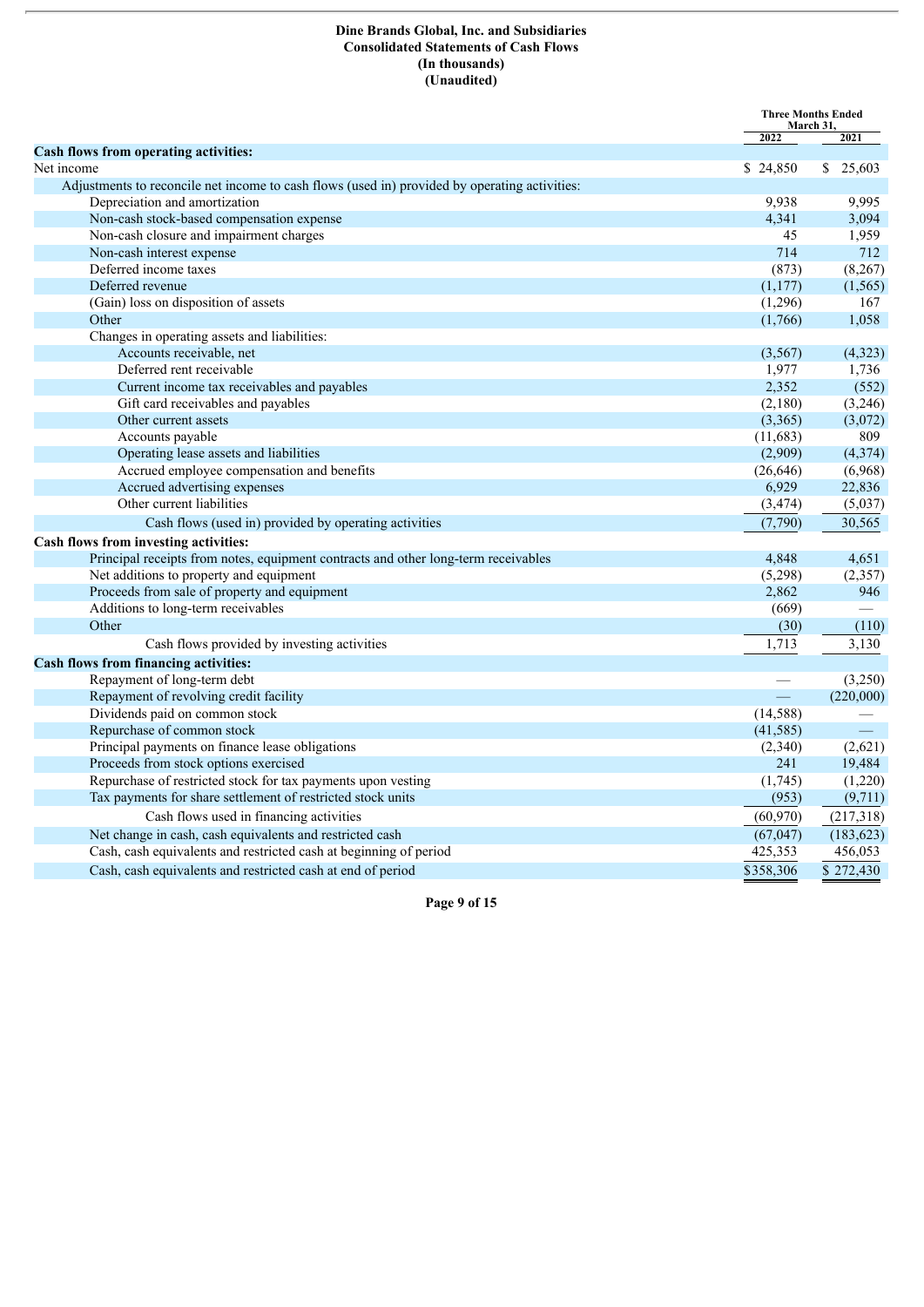# **Dine Brands Global, Inc. and Subsidiaries Consolidated Statements of Cash Flows (In thousands) (Unaudited)**

| 2022<br>2021<br><b>Cash flows from operating activities:</b><br>\$25,603<br>Net income<br>\$24,850<br>Adjustments to reconcile net income to cash flows (used in) provided by operating activities:<br>Depreciation and amortization<br>9,938<br>9,995<br>3,094<br>Non-cash stock-based compensation expense<br>4.341<br>Non-cash closure and impairment charges<br>1,959<br>45<br>714<br>712<br>Non-cash interest expense<br>Deferred income taxes<br>(873)<br>(8,267)<br>Deferred revenue<br>(1,177)<br>(1, 565)<br>(Gain) loss on disposition of assets<br>(1,296)<br>167<br>Other<br>(1,766)<br>1,058<br>Changes in operating assets and liabilities:<br>Accounts receivable, net<br>(4,323)<br>(3,567)<br>Deferred rent receivable<br>1,977<br>1,736<br>Current income tax receivables and payables<br>2,352<br>(552)<br>Gift card receivables and payables<br>(2,180)<br>(3,246)<br>Other current assets<br>(3,365)<br>(3,072)<br>Accounts payable<br>809<br>(11,683)<br>Operating lease assets and liabilities<br>(4,374)<br>(2,909)<br>Accrued employee compensation and benefits<br>(26, 646)<br>(6,968)<br>Accrued advertising expenses<br>6,929<br>22,836 |
|----------------------------------------------------------------------------------------------------------------------------------------------------------------------------------------------------------------------------------------------------------------------------------------------------------------------------------------------------------------------------------------------------------------------------------------------------------------------------------------------------------------------------------------------------------------------------------------------------------------------------------------------------------------------------------------------------------------------------------------------------------------------------------------------------------------------------------------------------------------------------------------------------------------------------------------------------------------------------------------------------------------------------------------------------------------------------------------------------------------------------------------------------------------------|
|                                                                                                                                                                                                                                                                                                                                                                                                                                                                                                                                                                                                                                                                                                                                                                                                                                                                                                                                                                                                                                                                                                                                                                      |
|                                                                                                                                                                                                                                                                                                                                                                                                                                                                                                                                                                                                                                                                                                                                                                                                                                                                                                                                                                                                                                                                                                                                                                      |
|                                                                                                                                                                                                                                                                                                                                                                                                                                                                                                                                                                                                                                                                                                                                                                                                                                                                                                                                                                                                                                                                                                                                                                      |
|                                                                                                                                                                                                                                                                                                                                                                                                                                                                                                                                                                                                                                                                                                                                                                                                                                                                                                                                                                                                                                                                                                                                                                      |
|                                                                                                                                                                                                                                                                                                                                                                                                                                                                                                                                                                                                                                                                                                                                                                                                                                                                                                                                                                                                                                                                                                                                                                      |
|                                                                                                                                                                                                                                                                                                                                                                                                                                                                                                                                                                                                                                                                                                                                                                                                                                                                                                                                                                                                                                                                                                                                                                      |
|                                                                                                                                                                                                                                                                                                                                                                                                                                                                                                                                                                                                                                                                                                                                                                                                                                                                                                                                                                                                                                                                                                                                                                      |
|                                                                                                                                                                                                                                                                                                                                                                                                                                                                                                                                                                                                                                                                                                                                                                                                                                                                                                                                                                                                                                                                                                                                                                      |
|                                                                                                                                                                                                                                                                                                                                                                                                                                                                                                                                                                                                                                                                                                                                                                                                                                                                                                                                                                                                                                                                                                                                                                      |
|                                                                                                                                                                                                                                                                                                                                                                                                                                                                                                                                                                                                                                                                                                                                                                                                                                                                                                                                                                                                                                                                                                                                                                      |
|                                                                                                                                                                                                                                                                                                                                                                                                                                                                                                                                                                                                                                                                                                                                                                                                                                                                                                                                                                                                                                                                                                                                                                      |
|                                                                                                                                                                                                                                                                                                                                                                                                                                                                                                                                                                                                                                                                                                                                                                                                                                                                                                                                                                                                                                                                                                                                                                      |
|                                                                                                                                                                                                                                                                                                                                                                                                                                                                                                                                                                                                                                                                                                                                                                                                                                                                                                                                                                                                                                                                                                                                                                      |
|                                                                                                                                                                                                                                                                                                                                                                                                                                                                                                                                                                                                                                                                                                                                                                                                                                                                                                                                                                                                                                                                                                                                                                      |
|                                                                                                                                                                                                                                                                                                                                                                                                                                                                                                                                                                                                                                                                                                                                                                                                                                                                                                                                                                                                                                                                                                                                                                      |
|                                                                                                                                                                                                                                                                                                                                                                                                                                                                                                                                                                                                                                                                                                                                                                                                                                                                                                                                                                                                                                                                                                                                                                      |
|                                                                                                                                                                                                                                                                                                                                                                                                                                                                                                                                                                                                                                                                                                                                                                                                                                                                                                                                                                                                                                                                                                                                                                      |
|                                                                                                                                                                                                                                                                                                                                                                                                                                                                                                                                                                                                                                                                                                                                                                                                                                                                                                                                                                                                                                                                                                                                                                      |
|                                                                                                                                                                                                                                                                                                                                                                                                                                                                                                                                                                                                                                                                                                                                                                                                                                                                                                                                                                                                                                                                                                                                                                      |
|                                                                                                                                                                                                                                                                                                                                                                                                                                                                                                                                                                                                                                                                                                                                                                                                                                                                                                                                                                                                                                                                                                                                                                      |
|                                                                                                                                                                                                                                                                                                                                                                                                                                                                                                                                                                                                                                                                                                                                                                                                                                                                                                                                                                                                                                                                                                                                                                      |
| Other current liabilities<br>(5,037)<br>(3, 474)                                                                                                                                                                                                                                                                                                                                                                                                                                                                                                                                                                                                                                                                                                                                                                                                                                                                                                                                                                                                                                                                                                                     |
| 30,565<br>Cash flows (used in) provided by operating activities<br>(7,790)                                                                                                                                                                                                                                                                                                                                                                                                                                                                                                                                                                                                                                                                                                                                                                                                                                                                                                                                                                                                                                                                                           |
|                                                                                                                                                                                                                                                                                                                                                                                                                                                                                                                                                                                                                                                                                                                                                                                                                                                                                                                                                                                                                                                                                                                                                                      |
| Cash flows from investing activities:                                                                                                                                                                                                                                                                                                                                                                                                                                                                                                                                                                                                                                                                                                                                                                                                                                                                                                                                                                                                                                                                                                                                |
| Principal receipts from notes, equipment contracts and other long-term receivables<br>4,848<br>4,651                                                                                                                                                                                                                                                                                                                                                                                                                                                                                                                                                                                                                                                                                                                                                                                                                                                                                                                                                                                                                                                                 |
| Net additions to property and equipment<br>(5,298)<br>(2,357)                                                                                                                                                                                                                                                                                                                                                                                                                                                                                                                                                                                                                                                                                                                                                                                                                                                                                                                                                                                                                                                                                                        |
| Proceeds from sale of property and equipment<br>2,862<br>946                                                                                                                                                                                                                                                                                                                                                                                                                                                                                                                                                                                                                                                                                                                                                                                                                                                                                                                                                                                                                                                                                                         |
| Additions to long-term receivables<br>(669)                                                                                                                                                                                                                                                                                                                                                                                                                                                                                                                                                                                                                                                                                                                                                                                                                                                                                                                                                                                                                                                                                                                          |
| Other<br>(30)<br>(110)                                                                                                                                                                                                                                                                                                                                                                                                                                                                                                                                                                                                                                                                                                                                                                                                                                                                                                                                                                                                                                                                                                                                               |
| 1,713<br>3,130<br>Cash flows provided by investing activities                                                                                                                                                                                                                                                                                                                                                                                                                                                                                                                                                                                                                                                                                                                                                                                                                                                                                                                                                                                                                                                                                                        |
| <b>Cash flows from financing activities:</b>                                                                                                                                                                                                                                                                                                                                                                                                                                                                                                                                                                                                                                                                                                                                                                                                                                                                                                                                                                                                                                                                                                                         |
| Repayment of long-term debt<br>(3,250)                                                                                                                                                                                                                                                                                                                                                                                                                                                                                                                                                                                                                                                                                                                                                                                                                                                                                                                                                                                                                                                                                                                               |
| $\equiv$<br>Repayment of revolving credit facility<br>(220,000)                                                                                                                                                                                                                                                                                                                                                                                                                                                                                                                                                                                                                                                                                                                                                                                                                                                                                                                                                                                                                                                                                                      |
| Dividends paid on common stock<br>(14, 588)                                                                                                                                                                                                                                                                                                                                                                                                                                                                                                                                                                                                                                                                                                                                                                                                                                                                                                                                                                                                                                                                                                                          |
| Repurchase of common stock<br>(41, 585)<br>$\equiv$                                                                                                                                                                                                                                                                                                                                                                                                                                                                                                                                                                                                                                                                                                                                                                                                                                                                                                                                                                                                                                                                                                                  |
| Principal payments on finance lease obligations<br>(2,340)<br>(2,621)                                                                                                                                                                                                                                                                                                                                                                                                                                                                                                                                                                                                                                                                                                                                                                                                                                                                                                                                                                                                                                                                                                |
| Proceeds from stock options exercised<br>241<br>19,484                                                                                                                                                                                                                                                                                                                                                                                                                                                                                                                                                                                                                                                                                                                                                                                                                                                                                                                                                                                                                                                                                                               |
| Repurchase of restricted stock for tax payments upon vesting<br>(1,745)<br>(1,220)                                                                                                                                                                                                                                                                                                                                                                                                                                                                                                                                                                                                                                                                                                                                                                                                                                                                                                                                                                                                                                                                                   |
| (9,711)<br>Tax payments for share settlement of restricted stock units<br>(953)                                                                                                                                                                                                                                                                                                                                                                                                                                                                                                                                                                                                                                                                                                                                                                                                                                                                                                                                                                                                                                                                                      |
| Cash flows used in financing activities<br>(60, 970)<br>(217,318)                                                                                                                                                                                                                                                                                                                                                                                                                                                                                                                                                                                                                                                                                                                                                                                                                                                                                                                                                                                                                                                                                                    |
| Net change in cash, cash equivalents and restricted cash<br>(183, 623)<br>(67, 047)                                                                                                                                                                                                                                                                                                                                                                                                                                                                                                                                                                                                                                                                                                                                                                                                                                                                                                                                                                                                                                                                                  |
| 425,353<br>Cash, cash equivalents and restricted cash at beginning of period<br>456,053                                                                                                                                                                                                                                                                                                                                                                                                                                                                                                                                                                                                                                                                                                                                                                                                                                                                                                                                                                                                                                                                              |
| \$358,306<br>\$272,430<br>Cash, cash equivalents and restricted cash at end of period                                                                                                                                                                                                                                                                                                                                                                                                                                                                                                                                                                                                                                                                                                                                                                                                                                                                                                                                                                                                                                                                                |

**Page 9 of 15**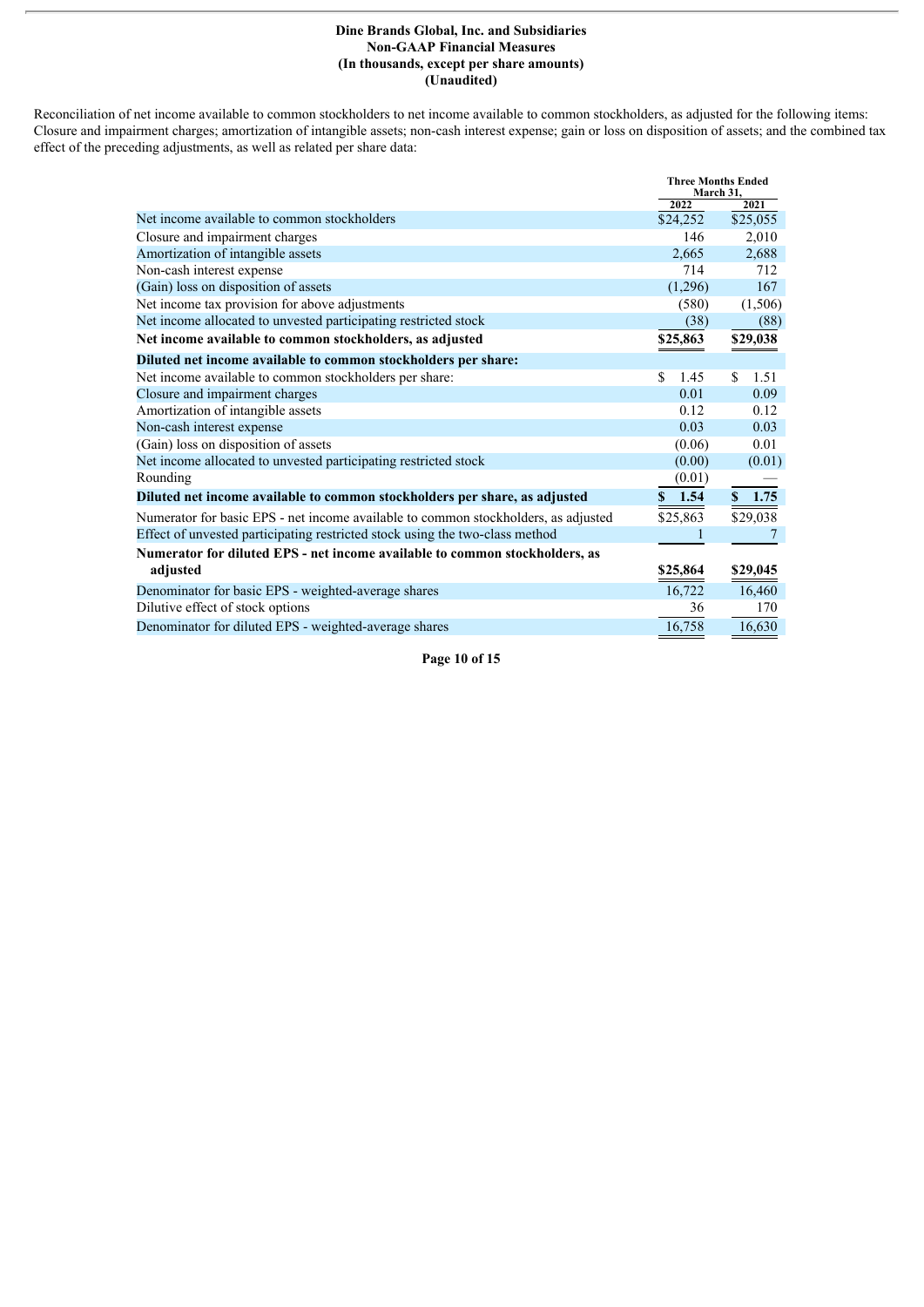# **Dine Brands Global, Inc. and Subsidiaries Non-GAAP Financial Measures (In thousands, except per share amounts) (Unaudited)**

Reconciliation of net income available to common stockholders to net income available to common stockholders, as adjusted for the following items: Closure and impairment charges; amortization of intangible assets; non-cash interest expense; gain or loss on disposition of assets; and the combined tax effect of the preceding adjustments, as well as related per share data:

|                                                                                    | <b>Three Months Ended</b><br>March 31, |                      |
|------------------------------------------------------------------------------------|----------------------------------------|----------------------|
|                                                                                    | 2022                                   | 2021                 |
| Net income available to common stockholders                                        | \$24,252                               | \$25,055             |
| Closure and impairment charges                                                     | 146                                    | 2,010                |
| Amortization of intangible assets                                                  | 2,665                                  | 2,688                |
| Non-cash interest expense                                                          | 714                                    | 712                  |
| (Gain) loss on disposition of assets                                               | (1,296)                                | 167                  |
| Net income tax provision for above adjustments                                     | (580)                                  | (1,506)              |
| Net income allocated to unvested participating restricted stock                    | (38)                                   | (88)                 |
| Net income available to common stockholders, as adjusted                           | \$25,863                               | \$29,038             |
| Diluted net income available to common stockholders per share:                     |                                        |                      |
| Net income available to common stockholders per share:                             | $\mathbf S$<br>1.45                    | \$.<br>1.51          |
| Closure and impairment charges                                                     | 0.01                                   | 0.09                 |
| Amortization of intangible assets                                                  | 0.12                                   | 0.12                 |
| Non-cash interest expense                                                          | 0.03                                   | 0.03                 |
| (Gain) loss on disposition of assets                                               | (0.06)                                 | 0.01                 |
| Net income allocated to unvested participating restricted stock                    | (0.00)                                 | (0.01)               |
| Rounding                                                                           | (0.01)                                 |                      |
| Diluted net income available to common stockholders per share, as adjusted         | 1.54<br>\$                             | 1.75<br>$\mathbf{s}$ |
| Numerator for basic EPS - net income available to common stockholders, as adjusted | \$25,863                               | \$29,038             |
| Effect of unvested participating restricted stock using the two-class method       | 1                                      |                      |
| Numerator for diluted EPS - net income available to common stockholders, as        |                                        |                      |
| adjusted                                                                           | \$25,864                               | \$29,045             |
| Denominator for basic EPS - weighted-average shares                                | 16,722                                 | 16,460               |
| Dilutive effect of stock options                                                   | 36                                     | 170                  |
| Denominator for diluted EPS - weighted-average shares                              | 16,758                                 | 16,630               |

**Page 10 of 15**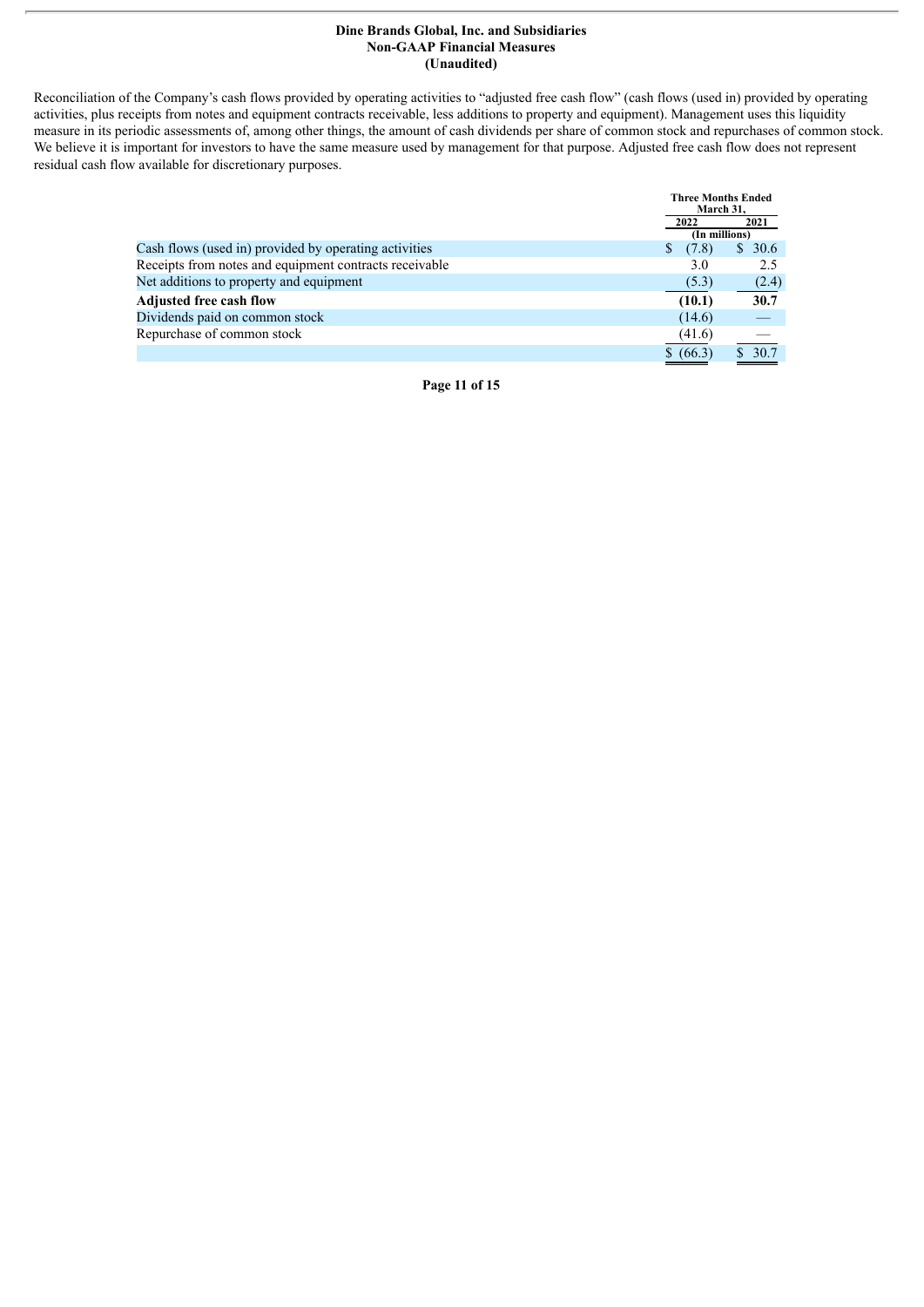## **Dine Brands Global, Inc. and Subsidiaries Non-GAAP Financial Measures (Unaudited)**

Reconciliation of the Company's cash flows provided by operating activities to "adjusted free cash flow" (cash flows (used in) provided by operating activities, plus receipts from notes and equipment contracts receivable, less additions to property and equipment). Management uses this liquidity measure in its periodic assessments of, among other things, the amount of cash dividends per share of common stock and repurchases of common stock. We believe it is important for investors to have the same measure used by management for that purpose. Adjusted free cash flow does not represent residual cash flow available for discretionary purposes.

|                                                        |             | <b>Three Months Ended</b><br>March 31. |
|--------------------------------------------------------|-------------|----------------------------------------|
|                                                        | 2022        | 2021<br>(In millions)                  |
| Cash flows (used in) provided by operating activities  | S<br>(7.8)  | 30.6<br>S                              |
| Receipts from notes and equipment contracts receivable | 3.0         | 2.5                                    |
| Net additions to property and equipment                | (5.3)       | (2.4)                                  |
| <b>Adjusted free cash flow</b>                         | (10.1)      | 30.7                                   |
| Dividends paid on common stock                         | (14.6)      |                                        |
| Repurchase of common stock                             | (41.6)      |                                        |
|                                                        | (66.3)<br>S | 30.7                                   |

**Page 11 of 15**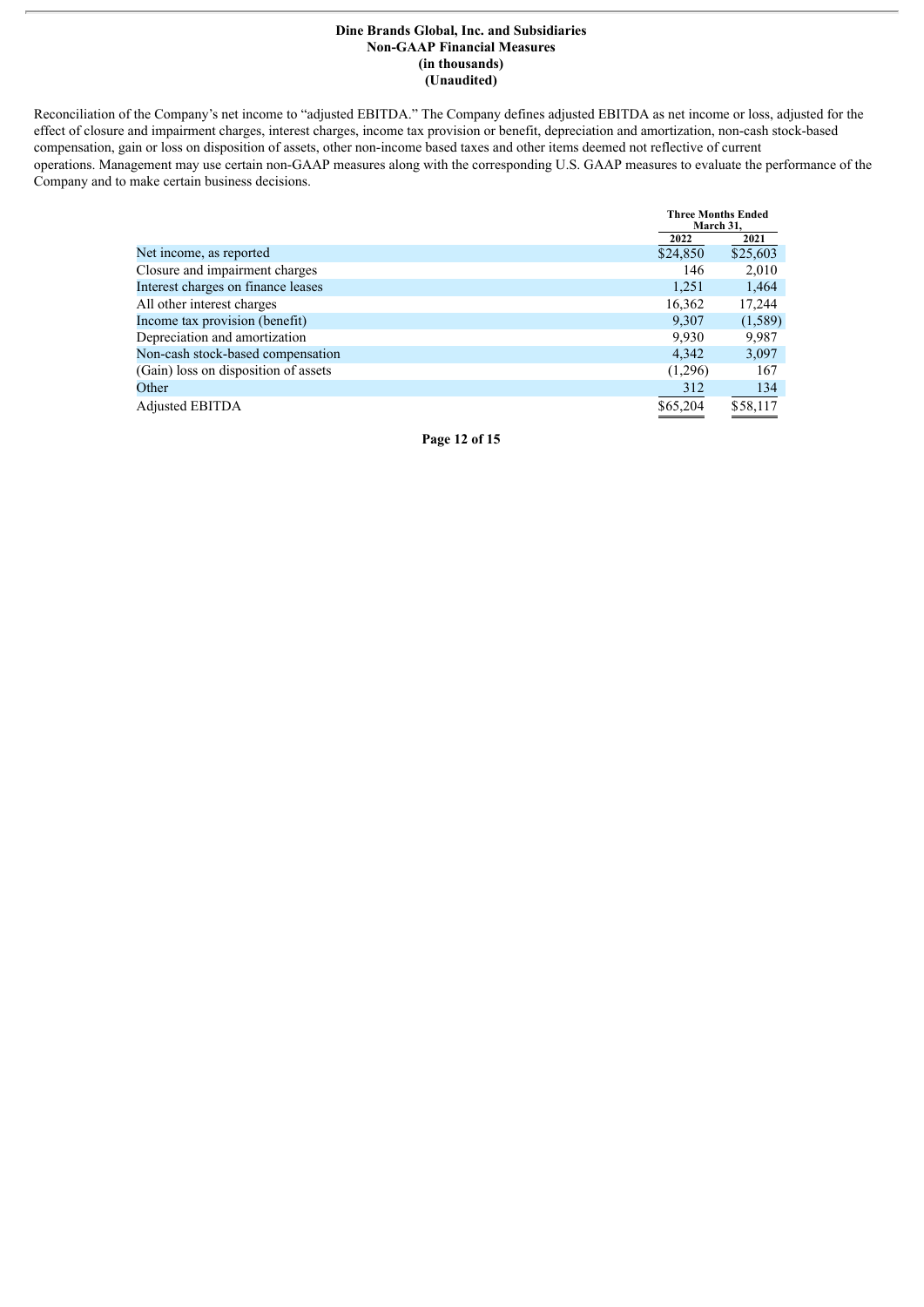## **Dine Brands Global, Inc. and Subsidiaries Non-GAAP Financial Measures (in thousands) (Unaudited)**

Reconciliation of the Company's net income to "adjusted EBITDA." The Company defines adjusted EBITDA as net income or loss, adjusted for the effect of closure and impairment charges, interest charges, income tax provision or benefit, depreciation and amortization, non-cash stock-based compensation, gain or loss on disposition of assets, other non-income based taxes and other items deemed not reflective of current operations. Management may use certain non-GAAP measures along with the corresponding U.S. GAAP measures to evaluate the performance of the Company and to make certain business decisions.

|                                      |          | <b>Three Months Ended</b><br>March 31. |  |
|--------------------------------------|----------|----------------------------------------|--|
|                                      | 2022     | 2021                                   |  |
| Net income, as reported              | \$24,850 | \$25,603                               |  |
| Closure and impairment charges       | 146      | 2,010                                  |  |
| Interest charges on finance leases   | 1,251    | 1,464                                  |  |
| All other interest charges           | 16,362   | 17,244                                 |  |
| Income tax provision (benefit)       | 9,307    | (1,589)                                |  |
| Depreciation and amortization        | 9,930    | 9,987                                  |  |
| Non-cash stock-based compensation    | 4,342    | 3,097                                  |  |
| (Gain) loss on disposition of assets | (1,296)  | 167                                    |  |
| Other                                | 312      | 134                                    |  |
| <b>Adjusted EBITDA</b>               | \$65,204 | \$58,117                               |  |

**Page 12 of 15**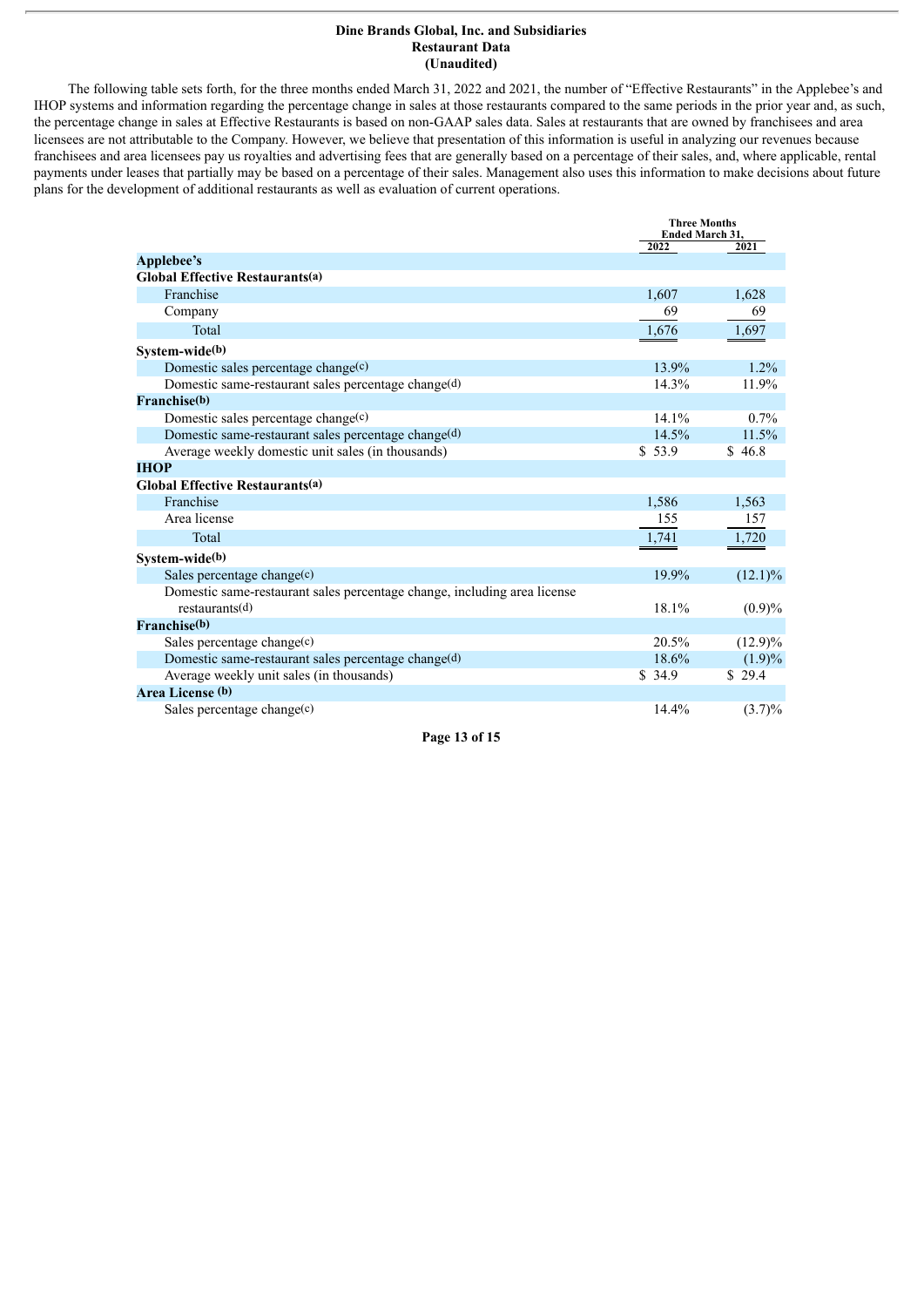#### **Dine Brands Global, Inc. and Subsidiaries Restaurant Data (Unaudited)**

The following table sets forth, for the three months ended March 31, 2022 and 2021, the number of "Effective Restaurants" in the Applebee's and IHOP systems and information regarding the percentage change in sales at those restaurants compared to the same periods in the prior year and, as such, the percentage change in sales at Effective Restaurants is based on non-GAAP sales data. Sales at restaurants that are owned by franchisees and area licensees are not attributable to the Company. However, we believe that presentation of this information is useful in analyzing our revenues because franchisees and area licensees pay us royalties and advertising fees that are generally based on a percentage of their sales, and, where applicable, rental payments under leases that partially may be based on a percentage of their sales. Management also uses this information to make decisions about future plans for the development of additional restaurants as well as evaluation of current operations.

|                                                                          | <b>Three Months</b><br><b>Ended March 31.</b> |            |
|--------------------------------------------------------------------------|-----------------------------------------------|------------|
|                                                                          | 2022                                          | 2021       |
| Applebee's                                                               |                                               |            |
| <b>Global Effective Restaurants(a)</b>                                   |                                               |            |
| Franchise                                                                | 1,607                                         | 1,628      |
| Company                                                                  | 69                                            | 69         |
| Total                                                                    | 1,676                                         | 1,697      |
| System-wide(b)                                                           |                                               |            |
| Domestic sales percentage change(c)                                      | 13.9%                                         | 1.2%       |
| Domestic same-restaurant sales percentage change(d)                      | 14.3%                                         | 11.9%      |
| Franchise(b)                                                             |                                               |            |
| Domestic sales percentage change(c)                                      | 14.1%                                         | 0.7%       |
| Domestic same-restaurant sales percentage change(d)                      | 14.5%                                         | 11.5%      |
| Average weekly domestic unit sales (in thousands)                        | \$53.9                                        | \$46.8     |
| <b>IHOP</b>                                                              |                                               |            |
| <b>Global Effective Restaurants(a)</b>                                   |                                               |            |
| Franchise                                                                | 1,586                                         | 1,563      |
| Area license                                                             | 155                                           | 157        |
| Total                                                                    | 1,741                                         | 1,720      |
| System-wide(b)                                                           |                                               |            |
| Sales percentage change(c)                                               | 19.9%                                         | $(12.1)\%$ |
| Domestic same-restaurant sales percentage change, including area license |                                               |            |
| restaurants(d)                                                           | 18.1%                                         | (0.9)%     |
| Franchise(b)                                                             |                                               |            |
| Sales percentage change $(c)$                                            | 20.5%                                         | $(12.9)\%$ |
| Domestic same-restaurant sales percentage change(d)                      | 18.6%                                         | $(1.9)\%$  |
| Average weekly unit sales (in thousands)                                 | \$34.9                                        | \$29.4     |
| <b>Area License (b)</b>                                                  |                                               |            |
| Sales percentage change $(c)$                                            | 14.4%                                         | $(3.7)\%$  |

**Page 13 of 15**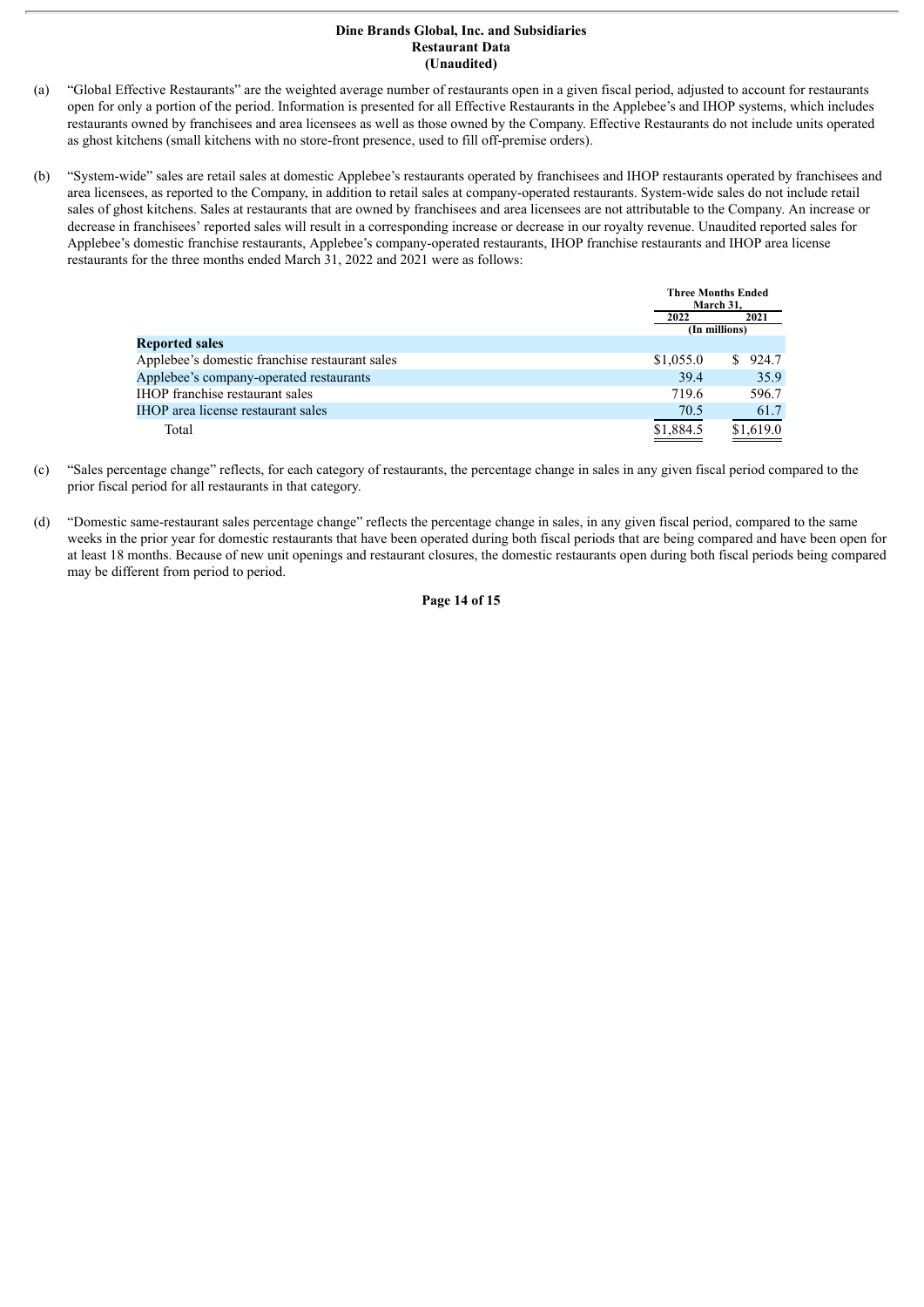#### **Dine Brands Global, Inc. and Subsidiaries Restaurant Data (Unaudited)**

- (a) "Global Effective Restaurants" are the weighted average number of restaurants open in a given fiscal period, adjusted to account for restaurants open for only a portion of the period. Information is presented for all Effective Restaurants in the Applebee's and IHOP systems, which includes restaurants owned by franchisees and area licensees as well as those owned by the Company. Effective Restaurants do not include units operated as ghost kitchens (small kitchens with no store-front presence, used to fill off-premise orders).
- (b) "System-wide" sales are retail sales at domestic Applebee's restaurants operated by franchisees and IHOP restaurants operated by franchisees and area licensees, as reported to the Company, in addition to retail sales at company-operated restaurants. System-wide sales do not include retail sales of ghost kitchens. Sales at restaurants that are owned by franchisees and area licensees are not attributable to the Company. An increase or decrease in franchisees' reported sales will result in a corresponding increase or decrease in our royalty revenue. Unaudited reported sales for Applebee's domestic franchise restaurants, Applebee's company-operated restaurants, IHOP franchise restaurants and IHOP area license restaurants for the three months ended March 31, 2022 and 2021 were as follows:

|                                                |           | <b>Three Months Ended</b><br>March 31. |  |
|------------------------------------------------|-----------|----------------------------------------|--|
|                                                | 2022      | 2021<br>(In millions)                  |  |
| <b>Reported sales</b>                          |           |                                        |  |
| Applebee's domestic franchise restaurant sales | \$1,055.0 | 924.7                                  |  |
| Applebee's company-operated restaurants        | 39.4      | 35.9                                   |  |
| <b>IHOP</b> franchise restaurant sales         | 719.6     | 596.7                                  |  |
| IHOP area license restaurant sales             | 70.5      | 61.7                                   |  |
| Total                                          | \$1,884.5 | \$1,619.0                              |  |

- (c) "Sales percentage change" reflects, for each category of restaurants, the percentage change in sales in any given fiscal period compared to the prior fiscal period for all restaurants in that category.
- (d) "Domestic same-restaurant sales percentage change" reflects the percentage change in sales, in any given fiscal period, compared to the same weeks in the prior year for domestic restaurants that have been operated during both fiscal periods that are being compared and have been open for at least 18 months. Because of new unit openings and restaurant closures, the domestic restaurants open during both fiscal periods being compared may be different from period to period.

# **Page 14 of 15**